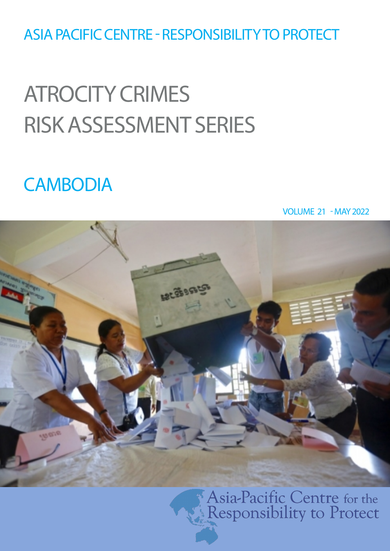ASIA PACIFIC CENTRE - RESPONSIBILITY TO PROTECT

# ATROCITY CRIMES RISK ASSESSMENT SERIES

# **CAMBODIA**

VOLUME 21 - MAY 2022



Asia-Pacific Centre for the Responsibility to Protect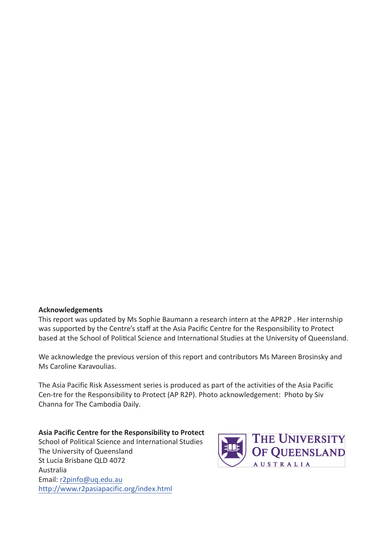**Acknowledgments**

This report was updated by Ms Sophie Baumann a research intern at the APR2P . Her internship was supported by the Centre's staff at the Asia Pacific Centre for the Responsibility to Protect based at the School of Political Science and International Studies at the University of Queensland.

We acknowledge the previous version of this report and contributors Ms Mareen Brosinsky and Ms Caroline Karavoulias.

The Asia Pacific Risk Assessment series is produced as part of the activities of the Asia Pacific Cen-tre for the Responsibility to Protect (AP R2P). Photo acknowledgment: Siv Channa for The Cambodia Daily.

**Asia Pacific Centre for the Responsibility to Protect** School of Political Science and International Studies The University of Queensland St Lucia Brisbane QLD 4072 Australia Email: r2pinfo@uq.edu.au http://www.r2pasiapacific.org/index.html

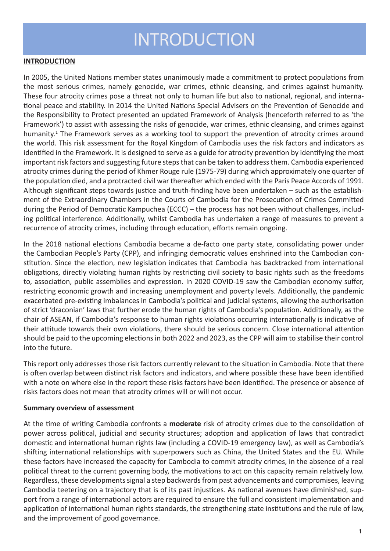# INTRODUCTION

#### **INTRODUCTION**

In 2005, the United Nations member states unanimously made a commitment to protect populations from the most serious crimes, namely genocide, war crimes, ethnic cleansing, and crimes against humanity. These four atrocity crimes pose a threat not only to human life but also to national, regional, and international peace and stability. In 2014 the United Nations Special Advisers on the Prevention of Genocide and the Responsibility to Protect presented an updated Framework of Analysis (henceforth referred to as 'the Framework') to assist with assessing the risks of genocide, war crimes, ethnic cleansing, and crimes against humanity.<sup>1</sup> The Framework serves as a working tool to support the prevention of atrocity crimes around the world. This risk assessment for the Royal Kingdom of Cambodia uses the risk factors and indicators as identified in the Framework. It is designed to serve as a guide for atrocity prevention by identifying the most important risk factors and suggesting future steps that can be taken to address them. Cambodia experienced atrocity crimes during the period of Khmer Rouge rule (1975-79) during which approximately one quarter of the population died, and a protracted civil war thereafter which ended with the Paris Peace Accords of 1991. Although significant steps towards justice and truth-finding have been undertaken – such as the establishment of the Extraordinary Chambers in the Courts of Cambodia for the Prosecution of Crimes Committed during the Period of Democratic Kampuchea (ECCC) – the process has not been without challenges, including political interference. Additionally, whilst Cambodia has undertaken a range of measures to prevent a recurrence of atrocity crimes, including through education, efforts remain ongoing.

In the 2018 national elections Cambodia became a de-facto one party state, consolidating power under the Cambodian People's Party (CPP), and infringing democratic values enshrined into the Cambodian constitution. Since the election, new legislation indicates that Cambodia has backtracked from international obligations, directly violating human rights by restricting civil society to basic rights such as the freedoms to, association, public assemblies and expression. In 2020 COVID-19 saw the Cambodian economy suffer, restricting economic growth and increasing unemployment and poverty levels. Additionally, the pandemic exacerbated pre-existing imbalances in Cambodia's political and judicial systems, allowing the authorisation of strict 'draconian' laws that further erode the human rights of Cambodia's population. Additionally, as the chair of ASEAN, if Cambodia's response to human rights violations occurring internationally is indicative of their attitude towards their own violations, there should be serious concern. Close international attention should be paid to the upcoming elections in both 2022 and 2023, as the CPP will aim to stabilise their control into the future.

This report only addresses those risk factors currently relevant to the situation in Cambodia. Note that there is often overlap between distinct risk factors and indicators, and where possible these have been identified with a note on where else in the report these risks factors have been identified. The presence or absence of risks factors does not mean that atrocity crimes will or will not occur.

#### **Summary overview of assessment**

At the time of writing Cambodia confronts a **moderate** risk of atrocity crimes due to the consolidation of power across political, judicial and security structures; adoption and application of laws that contradict domestic and international human rights law (including a COVID-19 emergency law), as well as Cambodia's shifting international relationships with superpowers such as China, the United States and the EU. While these factors have increased the capacity for Cambodia to commit atrocity crimes, in the absence of a real political threat to the current governing body, the motivations to act on this capacity remain relatively low. Regardless, these developments signal a step backwards from past advancements and compromises, leaving Cambodia teetering on a trajectory that is of its past injustices. As national avenues have diminished, support from a range of international actors are required to ensure the full and consistent implementation and application of international human rights standards, the strengthening state institutions and the rule of law, and the improvement of good governance.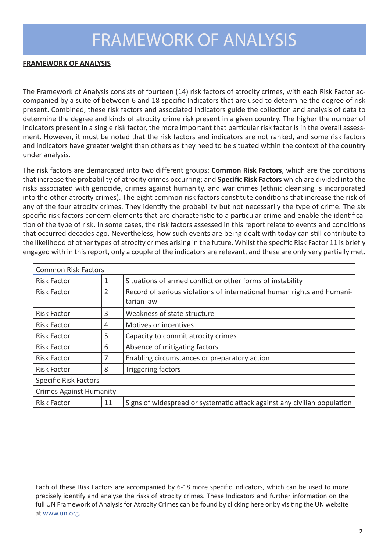## FRAMEWORK OF ANALYSIS

#### **FRAMEWORK OF ANALYSIS**

The Framework of Analysis consists of fourteen (14) risk factors of atrocity crimes, with each Risk Factor accompanied by a suite of between 6 and 18 specific Indicators that are used to determine the degree of risk present. Combined, these risk factors and associated Indicators guide the collection and analysis of data to determine the degree and kinds of atrocity crime risk present in a given country. The higher the number of indicators present in a single risk factor, the more important that particular risk factor is in the overall assessment. However, it must be noted that the risk factors and indicators are not ranked, and some risk factors and indicators have greater weight than others as they need to be situated within the context of the country under analysis.

The risk factors are demarcated into two different groups: **Common Risk Factors**, which are the conditions that increase the probability of atrocity crimes occurring; and **Specific Risk Factors** which are divided into the risks associated with genocide, crimes against humanity, and war crimes (ethnic cleansing is incorporated into the other atrocity crimes). The eight common risk factors constitute conditions that increase the risk of any of the four atrocity crimes. They identify the probability but not necessarily the type of crime. The six specific risk factors concern elements that are characteristic to a particular crime and enable the identification of the type of risk. In some cases, the risk factors assessed in this report relate to events and conditions that occurred decades ago. Nevertheless, how such events are being dealt with today can still contribute to the likelihood of other types of atrocity crimes arising in the future. Whilst the specific Risk Factor 11 is briefly engaged with in this report, only a couple of the indicators are relevant, and these are only very partially met.

| <b>Common Risk Factors</b>     |    |                                                                                      |
|--------------------------------|----|--------------------------------------------------------------------------------------|
| <b>Risk Factor</b>             | 1  | Situations of armed conflict or other forms of instability                           |
| <b>Risk Factor</b>             | 2  | Record of serious violations of international human rights and humani-<br>tarian law |
| <b>Risk Factor</b>             | 3  | Weakness of state structure                                                          |
| <b>Risk Factor</b>             | 4  | Motives or incentives                                                                |
| <b>Risk Factor</b>             | 5  | Capacity to commit atrocity crimes                                                   |
| <b>Risk Factor</b>             | 6  | Absence of mitigating factors                                                        |
| <b>Risk Factor</b>             | 7  | Enabling circumstances or preparatory action                                         |
| <b>Risk Factor</b>             | 8  | Triggering factors                                                                   |
| <b>Specific Risk Factors</b>   |    |                                                                                      |
| <b>Crimes Against Humanity</b> |    |                                                                                      |
| <b>Risk Factor</b>             | 11 | Signs of widespread or systematic attack against any civilian population             |

Each of these Risk Factors are accompanied by 6-18 more specific Indicators, which can be used to more precisely identify and analyse the risks of atrocity crimes. These Indicators and further information on the full UN Framework of Analysis for Atrocity Crimes can be found by clicking here or by visiting the UN website at www.un.org.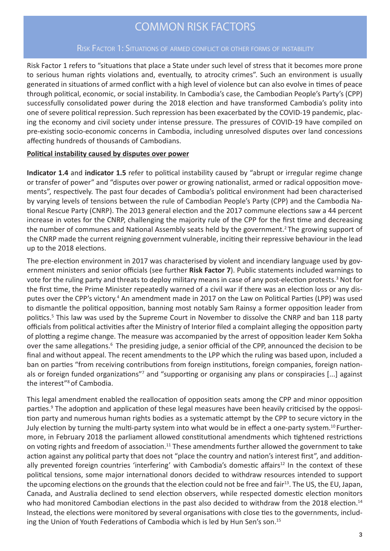### COMMON RISK FACTORS

#### Risk Factor 1: Situations of armed conflict or other forms of instability

Risk Factor 1 refers to "situations that place a State under such level of stress that it becomes more prone to serious human rights violations and, eventually, to atrocity crimes". Such an environment is usually generated in situations of armed conflict with a high level of violence but can also evolve in times of peace through political, economic, or social instability. In Cambodia's case, the Cambodian People's Party's (CPP) successfully consolidated power during the 2018 election and have transformed Cambodia's polity into one of severe political repression. Such repression has been exacerbated by the COVID-19 pandemic, placing the economy and civil society under intense pressure. The pressures of COVID-19 have compiled on pre-existing socio-economic concerns in Cambodia, including unresolved disputes over land concessions affecting hundreds of thousands of Cambodians.

#### **Political instability caused by disputes over power**

**Indicator 1.4** and **indicator 1.5** refer to political instability caused by "abrupt or irregular regime change or transfer of power" and "disputes over power or growing nationalist, armed or radical opposition movements", respectively. The past four decades of Cambodia's political environment had been characterised by varying levels of tensions between the rule of Cambodian People's Party (CPP) and the Cambodia National Rescue Party (CNRP). The 2013 general election and the 2017 commune elections saw a 44 percent increase in votes for the CNRP, challenging the majority rule of the CPP for the first time and decreasing the number of communes and National Assembly seats held by the government.<sup>2</sup> The growing support of the CNRP made the current reigning government vulnerable, inciting their repressive behaviour in the lead up to the 2018 elections.

The pre-election environment in 2017 was characterised by violent and incendiary language used by government ministers and senior officials (see further **Risk Factor 7**). Public statements included warnings to vote for the ruling party and threats to deploy military means in case of any post-election protests.<sup>3</sup> Not for the first time, the Prime Minister repeatedly warned of a civil war if there was an election loss or any disputes over the CPP's victory.<sup>4</sup> An amendment made in 2017 on the Law on Political Parties (LPP) was used to dismantle the political opposition, banning most notably Sam Rainsy a former opposition leader from politics.5 This law was used by the Supreme Court in November to dissolve the CNRP and ban 118 party officials from political activities after the Ministry of Interior filed a complaint alleging the opposition party of plotting a regime change. The measure was accompanied by the arrest of opposition leader Kem Sokha over the same allegations.<sup>6</sup> The presiding judge, a senior official of the CPP, announced the decision to be final and without appeal. The recent amendments to the LPP which the ruling was based upon, included a ban on parties "from receiving contributions from foreign institutions, foreign companies, foreign nationals or foreign funded organizations"<sup>7</sup> and "supporting or organising any plans or conspiracies [...] against the interest"8of Cambodia.

This legal amendment enabled the reallocation of opposition seats among the CPP and minor opposition parties.<sup>9</sup> The adoption and application of these legal measures have been heavily criticised by the opposition party and numerous human rights bodies as a systematic attempt by the CPP to secure victory in the July election by turning the multi-party system into what would be in effect a one-party system.10 Furthermore, in February 2018 the parliament allowed constitutional amendments which tightened restrictions on voting rights and freedom of association.<sup>11</sup> These amendments further allowed the government to take action against any political party that does not "place the country and nation's interest first", and additionally prevented foreign countries 'interfering' with Cambodia's domestic affairs<sup>12</sup> In the context of these political tensions, some major international donors decided to withdraw resources intended to support the upcoming elections on the grounds that the election could not be free and fair<sup>13</sup>. The US, the EU, Japan, Canada, and Australia declined to send election observers, while respected domestic election monitors who had monitored Cambodian elections in the past also decided to withdraw from the 2018 election.<sup>14</sup> Instead, the elections were monitored by several organisations with close ties to the governments, including the Union of Youth Federations of Cambodia which is led by Hun Sen's son.15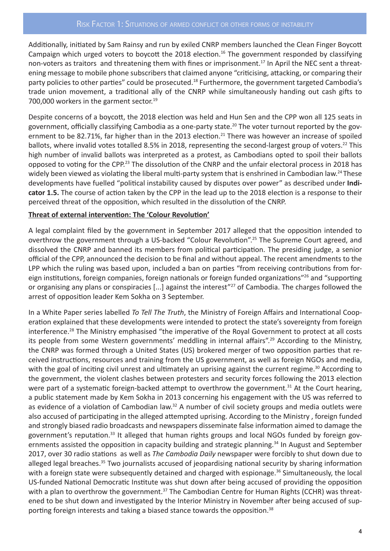#### Risk Factor 1: Situations of armed conflict or other forms of instability

Additionally, initiated by Sam Rainsy and run by exiled CNRP members launched the Clean Finger Boycott Campaign which urged voters to boycott the 2018 election.<sup>16</sup> The government responded by classifying non-voters as traitors and threatening them with fines or imprisonment.<sup>17</sup> In April the NEC sent a threatening message to mobile phone subscribers that claimed anyone "criticising, attacking, or comparing their party policies to other parties" could be prosecuted.<sup>18</sup> Furthermore, the government targeted Cambodia's trade union movement, a traditional ally of the CNRP while simultaneously handing out cash gifts to 700,000 workers in the garment sector.<sup>19</sup>

Despite concerns of a boycott, the 2018 election was held and Hun Sen and the CPP won all 125 seats in government, officially classifying Cambodia as a one-party state.<sup>20</sup> The voter turnout reported by the government to be 82.71%, far higher than in the 2013 election.<sup>21</sup> There was however an increase of spoiled ballots, where invalid votes totalled 8.5% in 2018, representing the second-largest group of voters.<sup>22</sup> This high number of invalid ballots was interpreted as a protest, as Cambodians opted to spoil their ballots opposed to voting for the CPP.<sup>23</sup> The dissolution of the CNRP and the unfair electoral process in 2018 has widely been viewed as violating the liberal multi-party system that is enshrined in Cambodian law.<sup>24</sup> These developments have fuelled "political instability caused by disputes over power" as described under **Indicator 1.5.** The course of action taken by the CPP in the lead up to the 2018 election is a response to their perceived threat of the opposition, which resulted in the dissolution of the CNRP.

#### **Threat of external intervention: The 'Colour Revolution'**

A legal complaint filed by the government in September 2017 alleged that the opposition intended to overthrow the government through a US-backed "Colour Revolution".<sup>25</sup> The Supreme Court agreed, and dissolved the CNRP and banned its members from political participation. The presiding judge, a senior official of the CPP, announced the decision to be final and without appeal. The recent amendments to the LPP which the ruling was based upon, included a ban on parties "from receiving contributions from foreign institutions, foreign companies, foreign nationals or foreign funded organizations"26 and "supporting or organising any plans or conspiracies [...] against the interest"27 of Cambodia. The charges followed the arrest of opposition leader Kem Sokha on 3 September.

In a White Paper series labelled *To Tell The Truth*, the Ministry of Foreign Affairs and International Cooperation explained that these developments were intended to protect the state's sovereignty from foreign interference.28 The Ministry emphasised "the imperative of the Royal Government to protect at all costs its people from some Western governments' meddling in internal affairs".<sup>29</sup> According to the Ministry, the CNRP was formed through a United States (US) brokered merger of two opposition parties that received instructions, resources and training from the US government, as well as foreign NGOs and media, with the goal of inciting civil unrest and ultimately an uprising against the current regime.<sup>30</sup> According to the government, the violent clashes between protesters and security forces following the 2013 election were part of a systematic foreign-backed attempt to overthrow the government.<sup>31</sup> At the Court hearing, a public statement made by Kem Sokha in 2013 concerning his engagement with the US was referred to as evidence of a violation of Cambodian law.<sup>32</sup> A number of civil society groups and media outlets were also accused of participating in the alleged attempted uprising. According to the Ministry , foreign funded and strongly biased radio broadcasts and newspapers disseminate false information aimed to damage the government's reputation.<sup>33</sup> It alleged that human rights groups and local NGOs funded by foreign governments assisted the opposition in capacity building and strategic planning.34 In August and September 2017, over 30 radio stations as well as *The Cambodia Daily* newspaper were forcibly to shut down due to alleged legal breaches.<sup>35</sup> Two journalists accused of jeopardising national security by sharing information with a foreign state were subsequently detained and charged with espionage.<sup>36</sup> Simultaneously, the local US-funded National Democratic Institute was shut down after being accused of providing the opposition with a plan to overthrow the government.<sup>37</sup> The Cambodian Centre for Human Rights (CCHR) was threatened to be shut down and investigated by the Interior Ministry in November after being accused of supporting foreign interests and taking a biased stance towards the opposition.<sup>38</sup>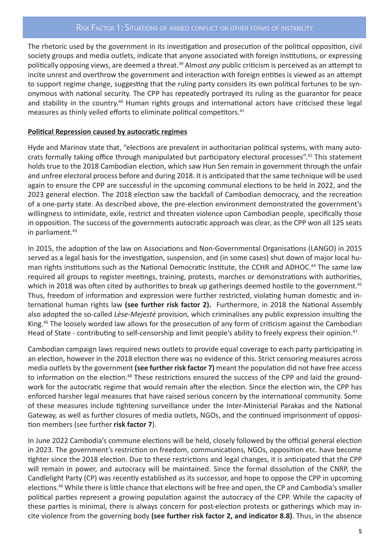#### RISK FACTOR 1: SITUATIONS OF ARMED CONFLICT OR OTHER FORMS OF INSTABILITY

The rhetoric used by the government in its investigation and prosecution of the political opposition, civil society groups and media outlets, indicate that anyone associated with foreign institutions, or expressing politically opposing views, are deemed a threat.39 Almost *any* public criticism is perceived as an attempt to incite unrest and overthrow the government and interaction with foreign entities is viewed as an attempt to support regime change, suggesting that the ruling party considers its own political fortunes to be synonymous with national security. The CPP has repeatedly portrayed its ruling as the guarantor for peace and stability in the country.<sup>40</sup> Human rights groups and international actors have criticised these legal measures as thinly veiled efforts to eliminate political competitors.<sup>41</sup>

#### **Political Repression caused by autocratic regimes**

Hyde and Marinov state that, "elections are prevalent in authoritarian political systems, with many autocrats formally taking office through manipulated but participatory electoral processes".42 This statement holds true to the 2018 Cambodian election, which saw Hun Sen remain in government through the unfair and unfree electoral process before and during 2018. It is anticipated that the same technique will be used again to ensure the CPP are successful in the upcoming communal elections to be held in 2022, and the 2023 general election. The 2018 election saw the backfall of Cambodian democracy, and the recreation of a one-party state. As described above, the pre-election environment demonstrated the government's willingness to intimidate, exile, restrict and threaten violence upon Cambodian people, specifically those in opposition. The success of the governments autocratic approach was clear, as the CPP won all 125 seats in parliament.<sup>43</sup>

In 2015, the adoption of the law on Associations and Non-Governmental Organisations (LANGO) in 2015 served as a legal basis for the investigation, suspension, and (in some cases) shut down of major local human rights institutions such as the National Democratic Institute, the CCHR and ADHOC.<sup>44</sup> The same law required all groups to register meetings, training, protests, marches or demonstrations with authorities, which in 2018 was often cited by authorities to break up gatherings deemed hostile to the government.<sup>45</sup> Thus, freedom of information and expression were further restricted, violating human domestic and international human rights law **(see further risk factor 2).** Furthermore, in 2018 the National Assembly also adopted the so-called *Lèse-Mejesté* provision, which criminalises any public expression insulting the King.<sup>46</sup> The loosely worded law allows for the prosecution of any form of criticism against the Cambodian Head of State - contributing to self-censorship and limit people's ability to freely express their opinion.<sup>47</sup>

Cambodian campaign laws required news outlets to provide equal coverage to each party participating in an election, however in the 2018 election there was no evidence of this. Strict censoring measures across media outlets by the government **(see further risk factor 7)** meant the population did not have free access to information on the election.<sup>48</sup> These restrictions ensured the success of the CPP and laid the groundwork for the autocratic regime that would remain after the election. Since the election win, the CPP has enforced harsher legal measures that have raised serious concern by the international community. Some of these measures include tightening surveillance under the Inter-Ministerial Parakas and the National Gateway, as well as further closures of media outlets, NGOs, and the continued imprisonment of opposition members (see further **risk factor 7**).

In June 2022 Cambodia's commune elections will be held, closely followed by the official general election in 2023. The government's restriction on freedom, communications, NGOs, opposition etc. have become tighter since the 2018 election. Due to these restrictions and legal changes, it is anticipated that the CPP will remain in power, and autocracy will be maintained. Since the formal dissolution of the CNRP, the Candlelight Party (CP) was recently established as its successor, and hope to oppose the CPP in upcoming elections.49 While there is little chance that elections will be free and open, the CP and Cambodia's smaller political parties represent a growing population against the autocracy of the CPP. While the capacity of these parties is minimal, there is always concern for post-election protests or gatherings which may incite violence from the governing body **(see further risk factor 2, and indicator 8.8)**. Thus, in the absence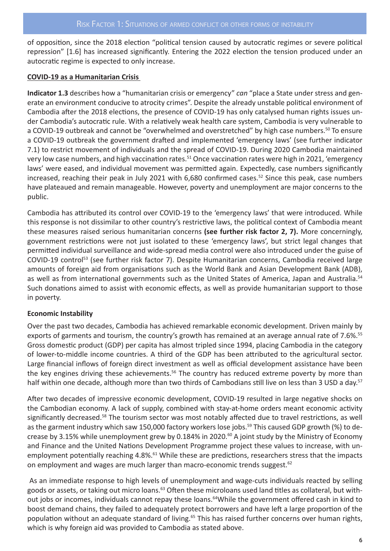of opposition, since the 2018 election "political tension caused by autocratic regimes or severe political repression" [1.6] has increased significantly. Entering the 2022 election the tension produced under an autocratic regime is expected to only increase.

#### **COVID-19 as a Humanitarian Crisis**

**Indicator 1.3** describes how a "humanitarian crisis or emergency" *can* "place a State under stress and generate an environment conducive to atrocity crimes". Despite the already unstable political environment of Cambodia after the 2018 elections, the presence of COVID-19 has only catalysed human rights issues under Cambodia's autocratic rule. With a relatively weak health care system, Cambodia is very vulnerable to a COVID-19 outbreak and cannot be "overwhelmed and overstretched" by high case numbers.<sup>50</sup> To ensure a COVID-19 outbreak the government drafted and implemented 'emergency laws' (see further indicator 7.1) to restrict movement of individuals and the spread of COVID-19. During 2020 Cambodia maintained very low case numbers, and high vaccination rates.<sup>51</sup> Once vaccination rates were high in 2021, 'emergency laws' were eased, and individual movement was permitted again. Expectedly, case numbers significantly increased, reaching their peak in July 2021 with 6,680 confirmed cases.<sup>52</sup> Since this peak, case numbers have plateaued and remain manageable. However, poverty and unemployment are major concerns to the public.

Cambodia has attributed its control over COVID-19 to the 'emergency laws' that were introduced. While this response is not dissimilar to other country's restrictive laws, the political context of Cambodia meant these measures raised serious humanitarian concerns **(see further risk factor 2, 7).** More concerningly, government restrictions were not just isolated to these 'emergency laws', but strict legal changes that permitted individual surveillance and wide-spread media control were also introduced under the guise of COVID-19 control53 (see further risk factor 7). Despite Humanitarian concerns, Cambodia received large amounts of foreign aid from organisations such as the World Bank and Asian Development Bank (ADB), as well as from international governments such as the United States of America, Japan and Australia.<sup>54</sup> Such donations aimed to assist with economic effects, as well as provide humanitarian support to those in poverty.

#### **Economic Instability**

Over the past two decades, Cambodia has achieved remarkable economic development. Driven mainly by exports of garments and tourism, the country's growth has remained at an average annual rate of 7.6%.<sup>55</sup> Gross domestic product (GDP) per capita has almost tripled since 1994, placing Cambodia in the category of lower-to-middle income countries. A third of the GDP has been attributed to the agricultural sector. Large financial inflows of foreign direct investment as well as official development assistance have been the key engines driving these achievements.<sup>56</sup> The country has reduced extreme poverty by more than half within one decade, although more than two thirds of Cambodians still live on less than 3 USD a day.<sup>57</sup>

After two decades of impressive economic development, COVID-19 resulted in large negative shocks on the Cambodian economy. A lack of supply, combined with stay-at-home orders meant economic activity significantly decreased.<sup>58</sup> The tourism sector was most notably affected due to travel restrictions, as well as the garment industry which saw 150,000 factory workers lose jobs.<sup>59</sup> This caused GDP growth (%) to decrease by 3.15% while unemployment grew by 0.184% in 2020.<sup>60</sup> A joint study by the Ministry of Economy and Finance and the United Nations Development Programme project these values to increase, with unemployment potentially reaching 4.8%.<sup>61</sup> While these are predictions, researchers stress that the impacts on employment and wages are much larger than macro-economic trends suggest.<sup>62</sup>

 As an immediate response to high levels of unemployment and wage-cuts individuals reacted by selling goods or assets, or taking out micro loans.<sup>63</sup> Often these microloans used land titles as collateral, but without jobs or incomes, individuals cannot repay these loans.<sup>64</sup>While the government offered cash in kind to boost demand chains, they failed to adequately protect borrowers and have left a large proportion of the population without an adequate standard of living.<sup>65</sup> This has raised further concerns over human rights, which is why foreign aid was provided to Cambodia as stated above.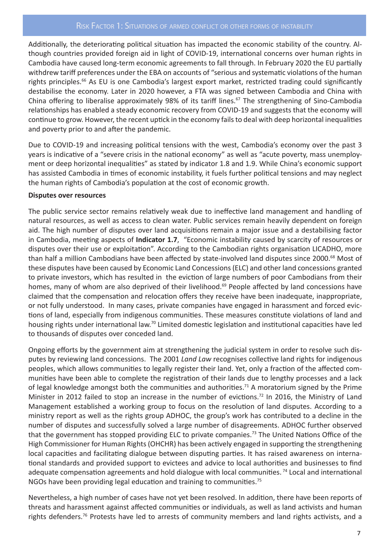Additionally, the deteriorating political situation has impacted the economic stability of the country. Although countries provided foreign aid in light of COVID-19, international concerns over human rights in Cambodia have caused long-term economic agreements to fall through. In February 2020 the EU partially withdrew tariff preferences under the EBA on accounts of "serious and systematic violations of the human rights principles.<sup>66</sup> As EU is one Cambodia's largest export market, restricted trading could significantly destabilise the economy. Later in 2020 however, a FTA was signed between Cambodia and China with China offering to liberalise approximately 98% of its tariff lines.<sup>67</sup> The strengthening of Sino-Cambodia relationships has enabled a steady economic recovery from COVID-19 and suggests that the economy will continue to grow. However, the recent uptick in the economy fails to deal with deep horizontal inequalities and poverty prior to and after the pandemic.

Due to COVID-19 and increasing political tensions with the west, Cambodia's economy over the past 3 years is indicative of a "severe crisis in the national economy" as well as "acute poverty, mass unemployment or deep horizontal inequalities" as stated by indicator 1.8 and 1.9. While China's economic support has assisted Cambodia in times of economic instability, it fuels further political tensions and may neglect the human rights of Cambodia's population at the cost of economic growth.

#### **Disputes over resources**

The public service sector remains relatively weak due to ineffective land management and handling of natural resources, as well as access to clean water. Public services remain heavily dependent on foreign aid. The high number of disputes over land acquisitions remain a major issue and a destabilising factor in Cambodia, meeting aspects of **Indicator 1.7**, "Economic instability caused by scarcity of resources or disputes over their use or exploitation". According to the Cambodian rights organisation LICADHO, more than half a million Cambodians have been affected by state-involved land disputes since 2000.<sup>68</sup> Most of these disputes have been caused by Economic Land Concessions (ELC) and other land concessions granted to private investors, which has resulted in the eviction of large numbers of poor Cambodians from their homes, many of whom are also deprived of their livelihood.<sup>69</sup> People affected by land concessions have claimed that the compensation and relocation offers they receive have been inadequate, inappropriate, or not fully understood. In many cases, private companies have engaged in harassment and forced evictions of land, especially from indigenous communities. These measures constitute violations of land and housing rights under international law.<sup>70</sup> Limited domestic legislation and institutional capacities have led to thousands of disputes over conceded land.

Ongoing efforts by the government aim at strengthening the judicial system in order to resolve such disputes by reviewing land concessions. The 2001 *Land Law* recognises collective land rights for indigenous peoples, which allows communities to legally register their land. Yet, only a fraction of the affected communities have been able to complete the registration of their lands due to lengthy processes and a lack of legal knowledge amongst both the communities and authorities.<sup>71</sup> A moratorium signed by the Prime Minister in 2012 failed to stop an increase in the number of evictions.<sup>72</sup> In 2016, the Ministry of Land Management established a working group to focus on the resolution of land disputes. According to a ministry report as well as the rights group ADHOC, the group's work has contributed to a decline in the number of disputes and successfully solved a large number of disagreements. ADHOC further observed that the government has stopped providing ELC to private companies.73 The United Nations Office of the High Commissioner for Human Rights (OHCHR) has been actively engaged in supporting the strengthening local capacities and facilitating dialogue between disputing parties. It has raised awareness on international standards and provided support to evictees and advice to local authorities and businesses to find adequate compensation agreements and hold dialogue with local communities.<sup>74</sup> Local and international NGOs have been providing legal education and training to communities.75

Nevertheless, a high number of cases have not yet been resolved. In addition, there have been reports of threats and harassment against affected communities or individuals, as well as land activists and human rights defenders.<sup>76</sup> Protests have led to arrests of community members and land rights activists, and a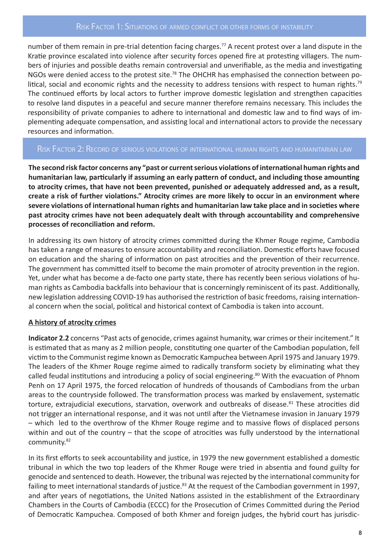number of them remain in pre-trial detention facing charges.<sup>77</sup> A recent protest over a land dispute in the Kratie province escalated into violence after security forces opened fire at protesting villagers. The numbers of injuries and possible deaths remain controversial and unverifiable, as the media and investigating NGOs were denied access to the protest site.<sup>78</sup> The OHCHR has emphasised the connection between political, social and economic rights and the necessity to address tensions with respect to human rights.<sup>79</sup> The continued efforts by local actors to further improve domestic legislation and strengthen capacities to resolve land disputes in a peaceful and secure manner therefore remains necessary. This includes the responsibility of private companies to adhere to international and domestic law and to find ways of implementing adequate compensation, and assisting local and international actors to provide the necessary resources and information.

#### Risk Factor 2: Record of serious violations of international human rights and humanitarian law

**The second risk factor concerns any "past or current serious violations of international human rights and humanitarian law, particularly if assuming an early pattern of conduct, and including those amounting to atrocity crimes, that have not been prevented, punished or adequately addressed and, as a result, create a risk of further violations." Atrocity crimes are more likely to occur in an environment where severe violations of international human rights and humanitarian law take place and in societies where past atrocity crimes have not been adequately dealt with through accountability and comprehensive processes of reconciliation and reform.** 

In addressing its own history of atrocity crimes committed during the Khmer Rouge regime, Cambodia has taken a range of measures to ensure accountability and reconciliation. Domestic efforts have focused on education and the sharing of information on past atrocities and the prevention of their recurrence. The government has committed itself to become the main promoter of atrocity prevention in the region. Yet, under what has become a de-facto one party state, there has recently been serious violations of human rights as Cambodia backfalls into behaviour that is concerningly reminiscent of its past. Additionally, new legislation addressing COVID-19 has authorised the restriction of basic freedoms, raising international concern when the social, political and historical context of Cambodia is taken into account.

#### **A history of atrocity crimes**

**Indicator 2.2** concerns "Past acts of genocide, crimes against humanity, war crimes or their incitement." It is estimated that as many as 2 million people, constituting one quarter of the Cambodian population, fell victim to the Communist regime known as Democratic Kampuchea between April 1975 and January 1979. The leaders of the Khmer Rouge regime aimed to radically transform society by eliminating what they called feudal institutions and introducing a policy of social engineering.<sup>80</sup> With the evacuation of Phnom Penh on 17 April 1975, the forced relocation of hundreds of thousands of Cambodians from the urban areas to the countryside followed. The transformation process was marked by enslavement, systematic torture, extrajudicial executions, starvation, overwork and outbreaks of disease.<sup>81</sup> These atrocities did not trigger an international response, and it was not until after the Vietnamese invasion in January 1979 – which led to the overthrow of the Khmer Rouge regime and to massive flows of displaced persons within and out of the country – that the scope of atrocities was fully understood by the international community.<sup>82</sup>

In its first efforts to seek accountability and justice, in 1979 the new government established a domestic tribunal in which the two top leaders of the Khmer Rouge were tried in absentia and found guilty for genocide and sentenced to death. However, the tribunal was rejected by the international community for failing to meet international standards of justice.<sup>83</sup> At the request of the Cambodian government in 1997, and after years of negotiations, the United Nations assisted in the establishment of the Extraordinary Chambers in the Courts of Cambodia (ECCC) for the Prosecution of Crimes Committed during the Period of Democratic Kampuchea. Composed of both Khmer and foreign judges, the hybrid court has jurisdic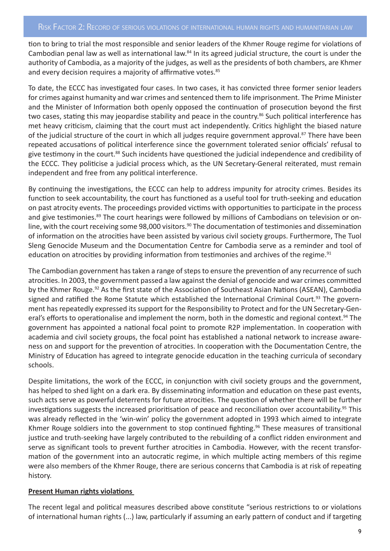tion to bring to trial the most responsible and senior leaders of the Khmer Rouge regime for violations of Cambodian penal law as well as international law.<sup>84</sup> In its agreed judicial structure, the court is under the authority of Cambodia, as a majority of the judges, as well as the presidents of both chambers, are Khmer and every decision requires a majority of affirmative votes.<sup>85</sup>

To date, the ECCC has investigated four cases. In two cases, it has convicted three former senior leaders for crimes against humanity and war crimes and sentenced them to life imprisonment. The Prime Minister and the Minister of Information both openly opposed the continuation of prosecution beyond the first two cases, stating this may jeopardise stability and peace in the country.<sup>86</sup> Such political interference has met heavy criticism, claiming that the court must act independently. Critics highlight the biased nature of the judicial structure of the court in which all judges require government approval.<sup>87</sup> There have been repeated accusations of political interference since the government tolerated senior officials' refusal to give testimony in the court.<sup>88</sup> Such incidents have questioned the judicial independence and credibility of the ECCC. They politicise a judicial process which, as the UN Secretary-General reiterated, must remain independent and free from any political interference.

By continuing the investigations, the ECCC can help to address impunity for atrocity crimes. Besides its function to seek accountability, the court has functioned as a useful tool for truth-seeking and education on past atrocity events. The proceedings provided victims with opportunities to participate in the process and give testimonies.<sup>89</sup> The court hearings were followed by millions of Cambodians on television or online, with the court receiving some 98,000 visitors.<sup>90</sup> The documentation of testimonies and dissemination of information on the atrocities have been assisted by various civil society groups. Furthermore, The Tuol Sleng Genocide Museum and the Documentation Centre for Cambodia serve as a reminder and tool of education on atrocities by providing information from testimonies and archives of the regime.<sup>91</sup>

The Cambodian government has taken a range of steps to ensure the prevention of any recurrence of such atrocities. In 2003, the government passed a law against the denial of genocide and war crimes committed by the Khmer Rouge.<sup>92</sup> As the first state of the Association of Southeast Asian Nations (ASEAN), Cambodia signed and ratified the Rome Statute which established the International Criminal Court.<sup>93</sup> The government has repeatedly expressed its support for the Responsibility to Protect and for the UN Secretary-General's efforts to operationalise and implement the norm, both in the domestic and regional context.<sup>94</sup> The government has appointed a national focal point to promote R2P implementation. In cooperation with academia and civil society groups, the focal point has established a national network to increase awareness on and support for the prevention of atrocities. In cooperation with the Documentation Centre, the Ministry of Education has agreed to integrate genocide education in the teaching curricula of secondary schools.

Despite limitations, the work of the ECCC, in conjunction with civil society groups and the government, has helped to shed light on a dark era. By disseminating information and education on these past events, such acts serve as powerful deterrents for future atrocities. The question of whether there will be further investigations suggests the increased prioritisation of peace and reconciliation over accountability.<sup>95</sup> This was already reflected in the 'win-win' policy the government adopted in 1993 which aimed to integrate Khmer Rouge soldiers into the government to stop continued fighting.<sup>96</sup> These measures of transitional justice and truth-seeking have largely contributed to the rebuilding of a conflict ridden environment and serve as significant tools to prevent further atrocities in Cambodia. However, with the recent transformation of the government into an autocratic regime, in which multiple acting members of this regime were also members of the Khmer Rouge, there are serious concerns that Cambodia is at risk of repeating history.

#### **Present Human rights violations**

The recent legal and political measures described above constitute "serious restrictions to or violations of international human rights (...) law, particularly if assuming an early pattern of conduct and if targeting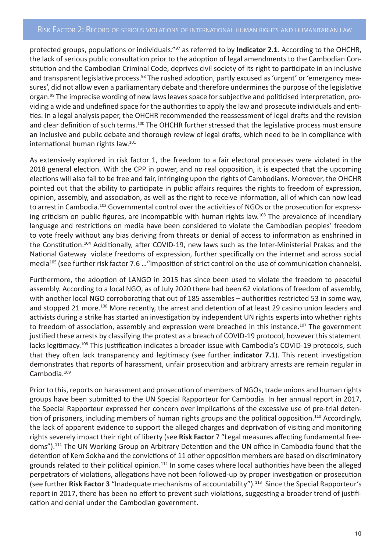#### RISK FACTOR 2: RECORD OF SERIOUS VIOLATIONS OF INTERNATIONAL HUMAN RIGHTS AND HUMANITARIAN LAW

protected groups, populations or individuals."97 as referred to by **Indicator 2.1**. According to the OHCHR, the lack of serious public consultation prior to the adoption of legal amendments to the Cambodian Constitution and the Cambodian Criminal Code, deprives civil society of its right to participate in an inclusive and transparent legislative process.<sup>98</sup> The rushed adoption, partly excused as 'urgent' or 'emergency measures', did not allow even a parliamentary debate and therefore undermines the purpose of the legislative organ.<sup>99</sup> The imprecise wording of new laws leaves space for subjective and politicised interpretation, providing a wide and undefined space for the authorities to apply the law and prosecute individuals and entities. In a legal analysis paper, the OHCHR recommended the reassessment of legal drafts and the revision and clear definition of such terms.<sup>100</sup> The OHCHR further stressed that the legislative process must ensure an inclusive and public debate and thorough review of legal drafts, which need to be in compliance with international human rights law.101

As extensively explored in risk factor 1, the freedom to a fair electoral processes were violated in the 2018 general election. With the CPP in power, and no real opposition, it is expected that the upcoming elections will also fail to be free and fair, infringing upon the rights of Cambodians. Moreover, the OHCHR pointed out that the ability to participate in public affairs requires the rights to freedom of expression, opinion, assembly, and association, as well as the right to receive information, all of which can now lead to arrest in Cambodia.<sup>102</sup> Governmental control over the activities of NGOs or the prosecution for expressing criticism on public figures, are incompatible with human rights law.<sup>103</sup> The prevalence of incendiary language and restrictions on media have been considered to violate the Cambodian peoples' freedom to vote freely without any bias deriving from threats or denial of access to information as enshrined in the Constitution.104 Additionally, after COVID-19, new laws such as the Inter-Ministerial Prakas and the National Gateway violate freedoms of expression, further specifically on the internet and across social media<sup>105</sup> (see further risk factor 7.6 ... "imposition of strict control on the use of communication channels).

Furthermore, the adoption of LANGO in 2015 has since been used to violate the freedom to peaceful assembly. According to a local NGO, as of July 2020 there had been 62 violations of freedom of assembly, with another local NGO corroborating that out of 185 assembles – authorities restricted 53 in some way, and stopped 21 more.<sup>106</sup> More recently, the arrest and detention of at least 29 casino union leaders and activists during a strike has started an investigation by independent UN rights experts into whether rights to freedom of association, assembly and expression were breached in this instance.<sup>107</sup> The government justified these arrests by classifying the protest as a breach of COVID-19 protocol, however this statement lacks legitimacy.<sup>108</sup> This justification indicates a broader issue with Cambodia's COVID-19 protocols, such that they often lack transparency and legitimacy (see further **indicator 7.1**). This recent investigation demonstrates that reports of harassment, unfair prosecution and arbitrary arrests are remain regular in Cambodia.<sup>109</sup>

Prior to this, reports on harassment and prosecution of members of NGOs, trade unions and human rights groups have been submitted to the UN Special Rapporteur for Cambodia. In her annual report in 2017, the Special Rapporteur expressed her concern over implications of the excessive use of pre-trial detention of prisoners, including members of human rights groups and the political opposition.<sup>110</sup> Accordingly, the lack of apparent evidence to support the alleged charges and deprivation of visiting and monitoring rights severely impact their right of liberty (see **Risk Factor** 7 "Legal measures affecting fundamental freedoms").111 The UN Working Group on Arbitrary Detention and the UN office in Cambodia found that the detention of Kem Sokha and the convictions of 11 other opposition members are based on discriminatory grounds related to their political opinion.<sup>112</sup> In some cases where local authorities have been the alleged perpetrators of violations, allegations have not been followed-up by proper investigation or prosecution (see further **Risk Factor 3** "Inadequate mechanisms of accountability").113 Since the Special Rapporteur's report in 2017, there has been no effort to prevent such violations, suggesting a broader trend of justification and denial under the Cambodian government.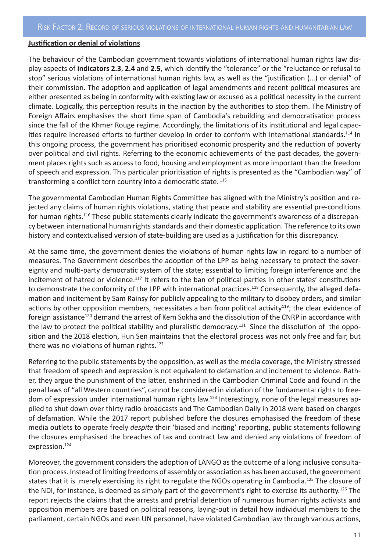#### **Justification or denial of violations**

The behaviour of the Cambodian government towards violations of international human rights law display aspects of **indicators 2.3**, **2.4** and **2.5**, which identify the "tolerance" or the "reluctance or refusal to stop" serious violations of international human rights law, as well as the "justification (…) or denial" of their commission. The adoption and application of legal amendments and recent political measures are either presented as being in conformity with existing law or excused as a political necessity in the current climate. Logically, this perception results in the inaction by the authorities to stop them. The Ministry of Foreign Affairs emphasises the short time span of Cambodia's rebuilding and democratisation process since the fall of the Khmer Rouge regime. Accordingly, the limitations of its institutional and legal capacities require increased efforts to further develop in order to conform with international standards.114 In this ongoing process, the government has prioritised economic prosperity and the reduction of poverty over political and civil rights. Referring to the economic achievements of the past decades, the government places rights such as access to food, housing and employment as more important than the freedom of speech and expression. This particular prioritisation of rights is presented as the "Cambodian way" of transforming a conflict torn country into a democratic state.<sup>115</sup>

The governmental Cambodian Human Rights Committee has aligned with the Ministry's position and rejected any claims of human rights violations, stating that peace and stability are essential pre-conditions for human rights.116 These public statements clearly indicate the government's awareness of a discrepancy between international human rights standards and their domestic application. The reference to its own history and contextualised version of state-building are used as a justification for this discrepancy.

At the same time, the government denies the violations of human rights law in regard to a number of measures. The Government describes the adoption of the LPP as being necessary to protect the sovereignty and multi-party democratic system of the state; essential to limiting foreign interference and the incitement of hatred or violence.<sup>117</sup> It refers to the ban of political parties in other states' constitutions to demonstrate the conformity of the LPP with international practices.<sup>118</sup> Consequently, the alleged defamation and incitement by Sam Rainsy for publicly appealing to the military to disobey orders, and similar actions by other opposition members, necessitates a ban from political activity<sup>119</sup>; the clear evidence of foreign assistance<sup>120</sup> demand the arrest of Kem Sokha and the dissolution of the CNRP in accordance with the law to protect the political stability and pluralistic democracy.<sup>121</sup> Since the dissolution of the opposition and the 2018 election, Hun Sen maintains that the electoral process was not only free and fair, but there was no violations of human rights.<sup>122</sup>

Referring to the public statements by the opposition, as well as the media coverage, the Ministry stressed that freedom of speech and expression is not equivalent to defamation and incitement to violence. Rather, they argue the punishment of the latter, enshrined in the Cambodian Criminal Code and found in the penal laws of "all Western countries", cannot be considered in violation of the fundamental rights to freedom of expression under international human rights law.<sup>123</sup> Interestingly, none of the legal measures applied to shut down over thirty radio broadcasts and The Cambodian Daily in 2018 were based on charges of defamation. While the 2017 report published before the closures emphasised the freedom of these media outlets to operate freely *despite* their 'biased and inciting' reporting, public statements following the closures emphasised the breaches of tax and contract law and denied any violations of freedom of expression.<sup>124</sup>

Moreover, the government considers the adoption of LANGO as the outcome of a long inclusive consultation process. Instead of limiting freedoms of assembly or association as has been accused, the government states that it is merely exercising its right to regulate the NGOs operating in Cambodia.<sup>125</sup> The closure of the NDI, for instance, is deemed as simply part of the government's right to exercise its authority.126 The report rejects the claims that the arrests and pretrial detention of numerous human rights activists and opposition members are based on political reasons, laying-out in detail how individual members to the parliament, certain NGOs and even UN personnel, have violated Cambodian law through various actions,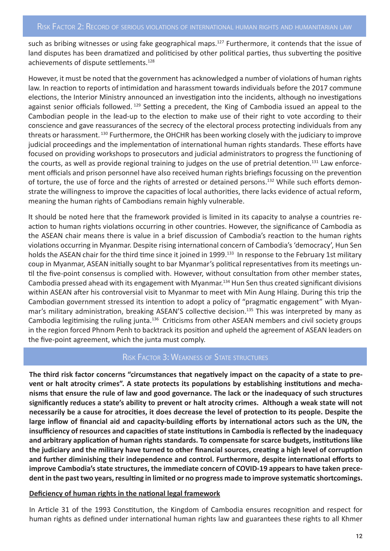such as bribing witnesses or using fake geographical maps.<sup>127</sup> Furthermore, it contends that the issue of land disputes has been dramatized and politicised by other political parties, thus subverting the positive achievements of dispute settlements.<sup>128</sup>

However, it must be noted that the government has acknowledged a number of violations of human rights law. In reaction to reports of intimidation and harassment towards individuals before the 2017 commune elections, the Interior Ministry announced an investigation into the incidents, although no investigations against senior officials followed.<sup>129</sup> Setting a precedent, the King of Cambodia issued an appeal to the Cambodian people in the lead-up to the election to make use of their right to vote according to their conscience and gave reassurances of the secrecy of the electoral process protecting individuals from any threats or harassment. <sup>130</sup> Furthermore, the OHCHR has been working closely with the judiciary to improve judicial proceedings and the implementation of international human rights standards. These efforts have focused on providing workshops to prosecutors and judicial administrators to progress the functioning of the courts, as well as provide regional training to judges on the use of pretrial detention.<sup>131</sup> Law enforcement officials and prison personnel have also received human rights briefings focussing on the prevention of torture, the use of force and the rights of arrested or detained persons.<sup>132</sup> While such efforts demonstrate the willingness to improve the capacities of local authorities, there lacks evidence of actual reform, meaning the human rights of Cambodians remain highly vulnerable.

It should be noted here that the framework provided is limited in its capacity to analyse a countries reaction to human rights violations occurring in other countries. However, the significance of Cambodia as the ASEAN chair means there is value in a brief discussion of Cambodia's reaction to the human rights violations occurring in Myanmar. Despite rising international concern of Cambodia's 'democracy', Hun Sen holds the ASEAN chair for the third time since it joined in 1999.<sup>133</sup> In response to the February 1st military coup in Myanmar, ASEAN initially sought to bar Myanmar's political representatives from its meetings until the five-point consensus is complied with. However, without consultation from other member states, Cambodia pressed ahead with its engagement with Myanmar.134 Hun Sen thus created significant divisions within ASEAN after his controversial visit to Myanmar to meet with Min Aung Hlaing. During this trip the Cambodian government stressed its intention to adopt a policy of "pragmatic engagement" with Myanmar's military administration, breaking ASEAN'S collective decision.<sup>135</sup> This was interpreted by many as Cambodia legitimising the ruling junta.136 Criticisms from other ASEAN members and civil society groups in the region forced Phnom Penh to backtrack its position and upheld the agreement of ASEAN leaders on the five-point agreement, which the junta must comply.

#### Risk Factor 3: Weakness of State structures

**The third risk factor concerns "circumstances that negatively impact on the capacity of a state to prevent or halt atrocity crimes". A state protects its populations by establishing institutions and mechanisms that ensure the rule of law and good governance. The lack or the inadequacy of such structures significantly reduces a state's ability to prevent or halt atrocity crimes. Although a weak state will not necessarily be a cause for atrocities, it does decrease the level of protection to its people. Despite the large inflow of financial aid and capacity-building efforts by international actors such as the UN, the insufficiency of resources and capacities of state institutions in Cambodia is reflected by the inadequacy and arbitrary application of human rights standards. To compensate for scarce budgets, institutions like the judiciary and the military have turned to other financial sources, creating a high level of corruption and further diminishing their independence and control. Furthermore, despite international efforts to improve Cambodia's state structures, the immediate concern of COVID-19 appears to have taken precedent in the past two years, resulting in limited or no progress made to improve systematic shortcomings.**

#### **Deficiency of human rights in the national legal framework**

In Article 31 of the 1993 Constitution, the Kingdom of Cambodia ensures recognition and respect for human rights as defined under international human rights law and guarantees these rights to all Khmer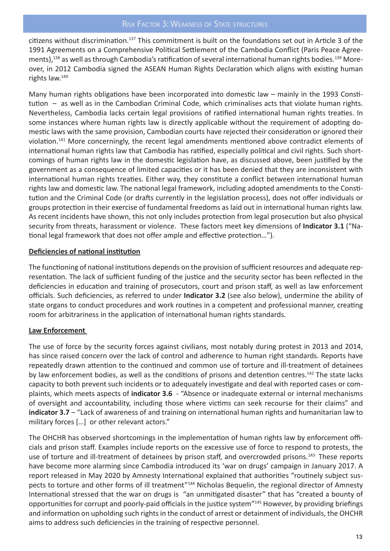citizens without discrimination.137 This commitment is built on the foundations set out in Article 3 of the 1991 Agreements on a Comprehensive Political Settlement of the Cambodia Conflict (Paris Peace Agreements),<sup>138</sup> as well as through Cambodia's ratification of several international human rights bodies.<sup>139</sup> Moreover, in 2012 Cambodia signed the ASEAN Human Rights Declaration which aligns with existing human rights law.140

Many human rights obligations have been incorporated into domestic law – mainly in the 1993 Constitution – as well as in the Cambodian Criminal Code, which criminalises acts that violate human rights. Nevertheless, Cambodia lacks certain legal provisions of ratified international human rights treaties. In some instances where human rights law is directly applicable without the requirement of adopting domestic laws with the same provision, Cambodian courts have rejected their consideration or ignored their violation.141 More concerningly, the recent legal amendments mentioned above contradict elements of international human rights law that Cambodia has ratified, especially political and civil rights. Such shortcomings of human rights law in the domestic legislation have, as discussed above, been justified by the government as a consequence of limited capacities or it has been denied that they are inconsistent with international human rights treaties. Either way, they constitute a conflict between international human rights law and domestic law. The national legal framework, including adopted amendments to the Constitution and the Criminal Code (or drafts currently in the legislation process), does not offer individuals or groups protection in their exercise of fundamental freedoms as laid out in international human rights law. As recent incidents have shown, this not only includes protection from legal prosecution but also physical security from threats, harassment or violence. These factors meet key dimensions of **Indicator 3.1** ("National legal framework that does not offer ample and effective protection…").

#### **Deficiencies of national institution**

The functioning of national institutions depends on the provision of sufficient resources and adequate representation. The lack of sufficient funding of the justice and the security sector has been reflected in the deficiencies in education and training of prosecutors, court and prison staff, as well as law enforcement officials. Such deficiencies, as referred to under **Indicator 3.2** (see also below), undermine the ability of state organs to conduct procedures and work routines in a competent and professional manner, creating room for arbitrariness in the application of international human rights standards.

#### **Law Enforcement**

The use of force by the security forces against civilians, most notably during protest in 2013 and 2014, has since raised concern over the lack of control and adherence to human right standards. Reports have repeatedly drawn attention to the continued and common use of torture and ill-treatment of detainees by law enforcement bodies, as well as the conditions of prisons and detention centres.<sup>142</sup> The state lacks capacity to both prevent such incidents or to adequately investigate and deal with reported cases or complaints, which meets aspects of **indicator 3.6** - "Absence or inadequate external or internal mechanisms of oversight and accountability, including those where victims can seek recourse for their claims" and **indicator 3.7** – "Lack of awareness of and training on international human rights and humanitarian law to military forces [...] or other relevant actors."

The OHCHR has observed shortcomings in the implementation of human rights law by enforcement officials and prison staff. Examples include reports on the excessive use of force to respond to protests, the use of torture and ill-treatment of detainees by prison staff, and overcrowded prisons.143 These reports have become more alarming since Cambodia introduced its 'war on drugs' campaign in January 2017. A report released in May 2020 by Amnesty International explained that authorities "routinely subject suspects to torture and other forms of ill treatment"<sup>144</sup> Nicholas Bequelin, the regional director of Amnesty International stressed that the war on drugs is "an unmitigated disaster" that has "created a bounty of opportunities for corrupt and poorly-paid officials in the justice system"145 However, by providing briefings and information on upholding such rights in the conduct of arrest or detainment of individuals, the OHCHR aims to address such deficiencies in the training of respective personnel.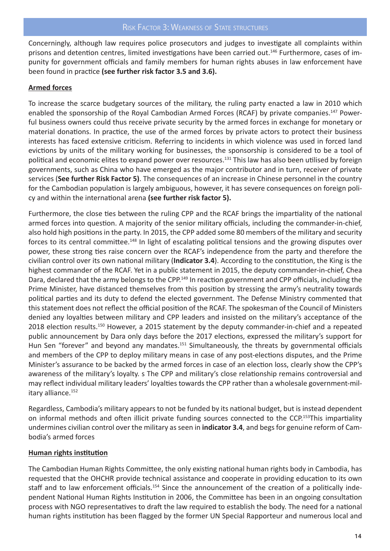Concerningly, although law requires police prosecutors and judges to investigate all complaints within prisons and detention centres, limited investigations have been carried out.<sup>146</sup> Furthermore, cases of impunity for government officials and family members for human rights abuses in law enforcement have been found in practice **(see further risk factor 3.5 and 3.6).** 

#### **Armed forces**

To increase the scarce budgetary sources of the military, the ruling party enacted a law in 2010 which enabled the sponsorship of the Royal Cambodian Armed Forces (RCAF) by private companies.<sup>147</sup> Powerful business owners could thus receive private security by the armed forces in exchange for monetary or material donations. In practice, the use of the armed forces by private actors to protect their business interests has faced extensive criticism. Referring to incidents in which violence was used in forced land evictions by units of the military working for businesses, the sponsorship is considered to be a tool of political and economic elites to expand power over resources.<sup>131</sup> This law has also been utilised by foreign governments, such as China who have emerged as the major contributor and in turn, receiver of private services (**See further Risk Factor 5)**. The consequences of an increase in Chinese personnel in the country for the Cambodian population is largely ambiguous, however, it has severe consequences on foreign policy and within the international arena **(see further risk factor 5).**

Furthermore, the close ties between the ruling CPP and the RCAF brings the impartiality of the national armed forces into question. A majority of the senior military officials, including the commander-in-chief, also hold high positions in the party. In 2015, the CPP added some 80 members of the military and security forces to its central committee.<sup>148</sup> In light of escalating political tensions and the growing disputes over power, these strong ties raise concern over the RCAF's independence from the party and therefore the civilian control over its own national military (**Indicator 3.4**). According to the constitution, the King is the highest commander of the RCAF. Yet in a public statement in 2015, the deputy commander-in-chief, Chea Dara, declared that the army belongs to the CPP.<sup>149</sup> In reaction government and CPP officials, including the Prime Minister, have distanced themselves from this position by stressing the army's neutrality towards political parties and its duty to defend the elected government. The Defense Ministry commented that this statement does not reflect the official position of the RCAF. The spokesman of the Council of Ministers denied any loyalties between military and CPP leaders and insisted on the military's acceptance of the 2018 election results.<sup>150</sup> However, a 2015 statement by the deputy commander-in-chief and a repeated public announcement by Dara only days before the 2017 elections, expressed the military's support for Hun Sen "forever" and beyond any mandates.<sup>151</sup> Simultaneously, the threats by governmental officials and members of the CPP to deploy military means in case of any post-elections disputes, and the Prime Minister's assurance to be backed by the armed forces in case of an election loss, clearly show the CPP's awareness of the military's loyalty. s The CPP and military's close relationship remains controversial and may reflect individual military leaders' loyalties towards the CPP rather than a wholesale government-military alliance.<sup>152</sup>

Regardless, Cambodia's military appears to not be funded by its national budget, but is instead dependent on informal methods and often illicit private funding sources connected to the CCP.153This impartiality undermines civilian control over the military as seen in **indicator 3.4**, and begs for genuine reform of Cambodia's armed forces

#### **Human rights institution**

The Cambodian Human Rights Committee, the only existing national human rights body in Cambodia, has requested that the OHCHR provide technical assistance and cooperate in providing education to its own staff and to law enforcement officials.<sup>154</sup> Since the announcement of the creation of a politically independent National Human Rights Institution in 2006, the Committee has been in an ongoing consultation process with NGO representatives to draft the law required to establish the body. The need for a national human rights institution has been flagged by the former UN Special Rapporteur and numerous local and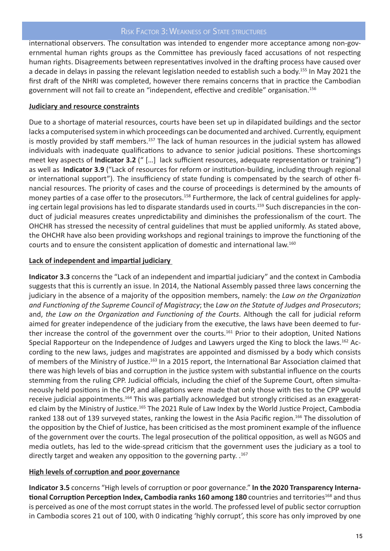#### Risk Factor 3: Weakness of State structures

international observers. The consultation was intended to engender more acceptance among non-governmental human rights groups as the Committee has previously faced accusations of not respecting human rights. Disagreements between representatives involved in the drafting process have caused over a decade in delays in passing the relevant legislation needed to establish such a body.155 In May 2021 the first draft of the NHRI was completed, however there remains concerns that in practice the Cambodian government will not fail to create an "independent, effective and credible" organisation.156

#### **Judiciary and resource constraints**

Due to a shortage of material resources, courts have been set up in dilapidated buildings and the sector lacks a computerised system in which proceedings can be documented and archived. Currently, equipment is mostly provided by staff members.<sup>157</sup> The lack of human resources in the judicial system has allowed individuals with inadequate qualifications to advance to senior judicial positions. These shortcomings meet key aspects of **Indicator 3.2** (" […] lack sufficient resources, adequate representation or training") as well as **Indicator 3.9** ("Lack of resources for reform or institution-building, including through regional or international support"). The insufficiency of state funding is compensated by the search of other financial resources. The priority of cases and the course of proceedings is determined by the amounts of money parties of a case offer to the prosecutors.<sup>158</sup> Furthermore, the lack of central guidelines for applying certain legal provisions has led to disparate standards used in courts.<sup>159</sup> Such discrepancies in the conduct of judicial measures creates unpredictability and diminishes the professionalism of the court. The OHCHR has stressed the necessity of central guidelines that must be applied uniformly. As stated above, the OHCHR have also been providing workshops and regional trainings to improve the functioning of the courts and to ensure the consistent application of domestic and international law.160

#### **Lack of independent and impartial judiciary**

**Indicator 3.3** concerns the "Lack of an independent and impartial judiciary" and the context in Cambodia suggests that this is currently an issue. In 2014, the National Assembly passed three laws concerning the judiciary in the absence of a majority of the opposition members, namely: the *Law on the Organization and Functioning of the Supreme Council of Magistracy*; the *Law on the Statute of Judges and Prosecutors*; and, *the Law on the Organization and Functioning of the Courts*. Although the call for judicial reform aimed for greater independence of the judiciary from the executive, the laws have been deemed to further increase the control of the government over the courts.<sup>161</sup> Prior to their adoption, United Nations Special Rapporteur on the Independence of Judges and Lawyers urged the King to block the laws.162 According to the new laws, judges and magistrates are appointed and dismissed by a body which consists of members of the Ministry of Justice.<sup>163</sup> In a 2015 report, the International Bar Association claimed that there was high levels of bias and corruption in the justice system with substantial influence on the courts stemming from the ruling CPP. Judicial officials, including the chief of the Supreme Court, often simultaneously held positions in the CPP, and allegations were made that only those with ties to the CPP would receive judicial appointments.<sup>164</sup> This was partially acknowledged but strongly criticised as an exaggerated claim by the Ministry of Justice.<sup>165</sup> The 2021 Rule of Law Index by the World Justice Project, Cambodia ranked 138 out of 139 surveyed states, ranking the lowest in the Asia Pacific region.<sup>166</sup> The dissolution of the opposition by the Chief of Justice, has been criticised as the most prominent example of the influence of the government over the courts. The legal prosecution of the political opposition, as well as NGOS and media outlets, has led to the wide-spread criticism that the government uses the judiciary as a tool to directly target and weaken any opposition to the governing party. .167

#### **High levels of corruption and poor governance**

**Indicator 3.5** concerns "High levels of corruption or poor governance." **In the 2020 Transparency International Corruption Perception Index, Cambodia ranks 160 among 180** countries and territories<sup>168</sup> and thus is perceived as one of the most corrupt states in the world. The professed level of public sector corruption in Cambodia scores 21 out of 100, with 0 indicating 'highly corrupt', this score has only improved by one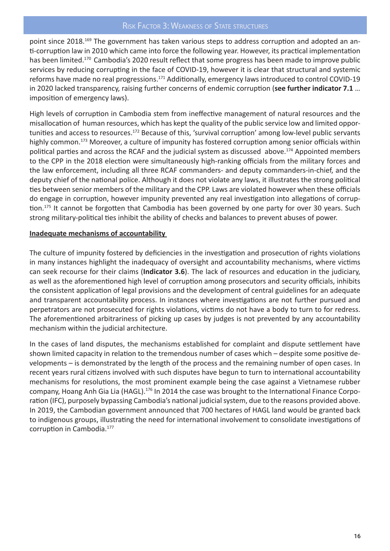#### RISK FACTOR 3: WEAKNESS OF STATE STRUCTURES

point since 2018.<sup>169</sup> The government has taken various steps to address corruption and adopted an anti-corruption law in 2010 which came into force the following year. However, its practical implementation has been limited.<sup>170</sup> Cambodia's 2020 result reflect that some progress has been made to improve public services by reducing corrupting in the face of COVID-19, however it is clear that structural and systemic reforms have made no real progressions.<sup>171</sup> Additionally, emergency laws introduced to control COVID-19 in 2020 lacked transparency, raising further concerns of endemic corruption (**see further indicator 7.1** … imposition of emergency laws).

High levels of corruption in Cambodia stem from ineffective management of natural resources and the misallocation of human resources, which has kept the quality of the public service low and limited opportunities and access to resources.172 Because of this, 'survival corruption' among low-level public servants highly common.<sup>173</sup> Moreover, a culture of impunity has fostered corruption among senior officials within political parties and across the RCAF and the judicial system as discussed above.<sup>174</sup> Appointed members to the CPP in the 2018 election were simultaneously high-ranking officials from the military forces and the law enforcement, including all three RCAF commanders- and deputy commanders-in-chief, and the deputy chief of the national police. Although it does not violate any laws, it illustrates the strong political ties between senior members of the military and the CPP. Laws are violated however when these officials do engage in corruption, however impunity prevented any real investigation into allegations of corruption.<sup>175</sup> It cannot be forgotten that Cambodia has been governed by one party for over 30 years. Such strong military-political ties inhibit the ability of checks and balances to prevent abuses of power.

#### **Inadequate mechanisms of accountability**

The culture of impunity fostered by deficiencies in the investigation and prosecution of rights violations in many instances highlight the inadequacy of oversight and accountability mechanisms, where victims can seek recourse for their claims (**Indicator 3.6**). The lack of resources and education in the judiciary, as well as the aforementioned high level of corruption among prosecutors and security officials, inhibits the consistent application of legal provisions and the development of central guidelines for an adequate and transparent accountability process. In instances where investigations are not further pursued and perpetrators are not prosecuted for rights violations, victims do not have a body to turn to for redress. The aforementioned arbitrariness of picking up cases by judges is not prevented by any accountability mechanism within the judicial architecture.

In the cases of land disputes, the mechanisms established for complaint and dispute settlement have shown limited capacity in relation to the tremendous number of cases which – despite some positive developments – is demonstrated by the length of the process and the remaining number of open cases. In recent years rural citizens involved with such disputes have begun to turn to international accountability mechanisms for resolutions, the most prominent example being the case against a Vietnamese rubber company, Hoang Anh Gia Lia (HAGL).176 In 2014 the case was brought to the International Finance Corporation (IFC), purposely bypassing Cambodia's national judicial system, due to the reasons provided above. In 2019, the Cambodian government announced that 700 hectares of HAGL land would be granted back to indigenous groups, illustrating the need for international involvement to consolidate investigations of corruption in Cambodia.177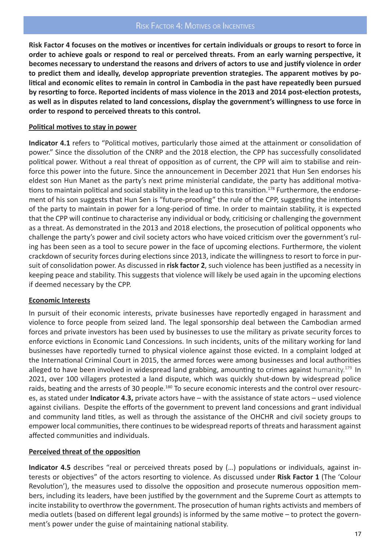**Risk Factor 4 focuses on the motives or incentives for certain individuals or groups to resort to force in order to achieve goals or respond to real or perceived threats. From an early warning perspective, it becomes necessary to understand the reasons and drivers of actors to use and justify violence in order to predict them and ideally, develop appropriate prevention strategies. The apparent motives by political and economic elites to remain in control in Cambodia in the past have repeatedly been pursued by resorting to force. Reported incidents of mass violence in the 2013 and 2014 post-election protests, as well as in disputes related to land concessions, display the government's willingness to use force in order to respond to perceived threats to this control.**

#### **Political motives to stay in power**

**Indicator 4.1** refers to "Political motives, particularly those aimed at the attainment or consolidation of power." Since the dissolution of the CNRP and the 2018 election, the CPP has successfully consolidated political power. Without a real threat of opposition as of current, the CPP will aim to stabilise and reinforce this power into the future. Since the announcement in December 2021 that Hun Sen endorses his eldest son Hun Manet as the party's next prime ministerial candidate, the party has additional motivations to maintain political and social stability in the lead up to this transition.<sup>178</sup> Furthermore, the endorsement of his son suggests that Hun Sen is "future-proofing" the rule of the CPP, suggesting the intentions of the party to maintain in power for a long-period of time. In order to maintain stability, it is expected that the CPP will continue to characterise any individual or body, criticising or challenging the government as a threat. As demonstrated in the 2013 and 2018 elections, the prosecution of political opponents who challenge the party's power and civil society actors who have voiced criticism over the government's ruling has been seen as a tool to secure power in the face of upcoming elections. Furthermore, the violent crackdown of security forces during elections since 2013, indicate the willingness to resort to force in pursuit of consolidation power. As discussed in **risk factor 2**, such violence has been justified as a necessity in keeping peace and stability. This suggests that violence will likely be used again in the upcoming elections if deemed necessary by the CPP.

#### **Economic Interests**

In pursuit of their economic interests, private businesses have reportedly engaged in harassment and violence to force people from seized land. The legal sponsorship deal between the Cambodian armed forces and private investors has been used by businesses to use the military as private security forces to enforce evictions in Economic Land Concessions. In such incidents, units of the military working for land businesses have reportedly turned to physical violence against those evicted. In a complaint lodged at the International Criminal Court in 2015, the armed forces were among businesses and local authorities alleged to have been involved in widespread land grabbing, amounting to crimes against humanity.<sup>179</sup> In 2021, over 100 villagers protested a land dispute, which was quickly shut-down by widespread police raids, beating and the arrests of 30 people.<sup>180</sup> To secure economic interests and the control over resources, as stated under **Indicator 4.3,** private actors have – with the assistance of state actors – used violence against civilians. Despite the efforts of the government to prevent land concessions and grant individual and community land titles, as well as through the assistance of the OHCHR and civil society groups to empower local communities, there continues to be widespread reports of threats and harassment against affected communities and individuals.

#### **Perceived threat of the opposition**

**Indicator 4.5** describes "real or perceived threats posed by (…) populations or individuals, against interests or objectives" of the actors resorting to violence. As discussed under **Risk Factor 1** (The 'Colour Revolution'), the measures used to dissolve the opposition and prosecute numerous opposition members, including its leaders, have been justified by the government and the Supreme Court as attempts to incite instability to overthrow the government. The prosecution of human rights activists and members of media outlets (based on different legal grounds) is informed by the same motive – to protect the government's power under the guise of maintaining national stability.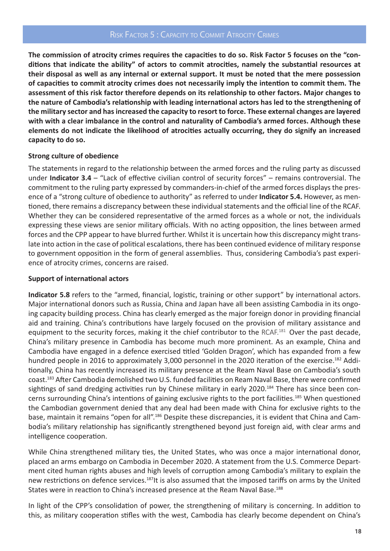**The commission of atrocity crimes requires the capacities to do so. Risk Factor 5 focuses on the "conditions that indicate the ability" of actors to commit atrocities, namely the substantial resources at their disposal as well as any internal or external support. It must be noted that the mere possession of capacities to commit atrocity crimes does not necessarily imply the intention to commit them. The assessment of this risk factor therefore depends on its relationship to other factors. Major changes to the nature of Cambodia's relationship with leading international actors has led to the strengthening of the military sector and has increased the capacity to resort to force. These external changes are layered with with a clear imbalance in the control and naturality of Cambodia's armed forces. Although these elements do not indicate the likelihood of atrocities actually occurring, they do signify an increased capacity to do so.**

#### **Strong culture of obedience**

The statements in regard to the relationship between the armed forces and the ruling party as discussed under **Indicator 3.4** – "Lack of effective civilian control of security forces" – remains controversial. The commitment to the ruling party expressed by commanders-in-chief of the armed forces displays the presence of a "strong culture of obedience to authority" as referred to under **Indicator 5.4.** However, as mentioned, there remains a discrepancy between these individual statements and the official line of the RCAF. Whether they can be considered representative of the armed forces as a whole or not, the individuals expressing these views are senior military officials. With no acting opposition, the lines between armed forces and the CPP appear to have blurred further. Whilst it is uncertain how this discrepancy might translate into action in the case of political escalations, there has been continued evidence of military response to government opposition in the form of general assemblies. Thus, considering Cambodia's past experience of atrocity crimes, concerns are raised.

#### **Support of international actors**

**Indicator 5.8** refers to the "armed, financial, logistic, training or other support" by international actors. Major international donors such as Russia, China and Japan have all been assisting Cambodia in its ongoing capacity building process. China has clearly emerged as the major foreign donor in providing financial aid and training. China's contributions have largely focused on the provision of military assistance and equipment to the security forces, making it the chief contributor to the RCAF.<sup>181</sup> Over the past decade, China's military presence in Cambodia has become much more prominent. As an example, China and Cambodia have engaged in a defence exercised titled 'Golden Dragon', which has expanded from a few hundred people in 2016 to approximately 3,000 personnel in the 2020 iteration of the exercise.<sup>182</sup> Additionally, China has recently increased its military presence at the Ream Naval Base on Cambodia's south coast.183 After Cambodia demolished two U.S. funded facilities on Ream Naval Base, there were confirmed sightings of sand dredging activities run by Chinese military in early 2020.<sup>184</sup> There has since been concerns surrounding China's intentions of gaining exclusive rights to the port facilities.<sup>185</sup> When questioned the Cambodian government denied that any deal had been made with China for exclusive rights to the base, maintain it remains "open for all".<sup>186</sup> Despite these discrepancies, it is evident that China and Cambodia's military relationship has significantly strengthened beyond just foreign aid, with clear arms and intelligence cooperation.

While China strengthened military ties, the United States, who was once a major international donor, placed an arms embargo on Cambodia in December 2020. A statement from the U.S. Commerce Department cited human rights abuses and high levels of corruption among Cambodia's military to explain the new restrictions on defence services.<sup>187</sup>It is also assumed that the imposed tariffs on arms by the United States were in reaction to China's increased presence at the Ream Naval Base.<sup>188</sup>

In light of the CPP's consolidation of power, the strengthening of military is concerning. In addition to this, as military cooperation stifles with the west, Cambodia has clearly become dependent on China's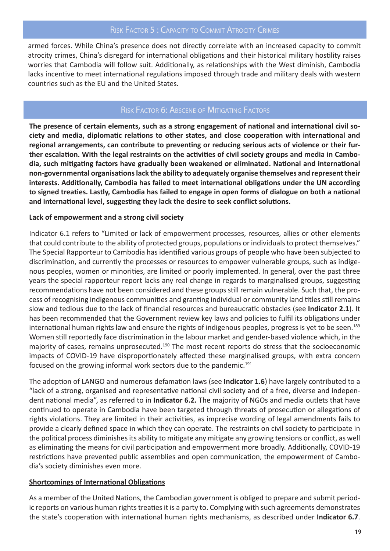armed forces. While China's presence does not directly correlate with an increased capacity to commit atrocity crimes, China's disregard for international obligations and their historical military hostility raises worries that Cambodia will follow suit. Additionally, as relationships with the West diminish, Cambodia lacks incentive to meet international regulations imposed through trade and military deals with western countries such as the EU and the United States.

#### RISK FACTOR 6: ABSCENE OF MITIGATING FACTORS

**The presence of certain elements, such as a strong engagement of national and international civil society and media, diplomatic relations to other states, and close cooperation with international and regional arrangements, can contribute to preventing or reducing serious acts of violence or their further escalation. With the legal restraints on the activities of civil society groups and media in Cambodia, such mitigating factors have gradually been weakened or eliminated. National and international non-governmental organisations lack the ability to adequately organise themselves and represent their interests. Additionally, Cambodia has failed to meet international obligations under the UN according to signed treaties. Lastly, Cambodia has failed to engage in open forms of dialogue on both a national and international level, suggesting they lack the desire to seek conflict solutions.**

#### **Lack of empowerment and a strong civil society**

Indicator 6.1 refers to "Limited or lack of empowerment processes, resources, allies or other elements that could contribute to the ability of protected groups, populations or individuals to protect themselves." The Special Rapporteur to Cambodia has identified various groups of people who have been subjected to discrimination, and currently the processes or resources to empower vulnerable groups, such as indigenous peoples, women or minorities, are limited or poorly implemented. In general, over the past three years the special rapporteur report lacks any real change in regards to marginalised groups, suggesting recommendations have not been considered and these groups still remain vulnerable. Such that, the process of recognising indigenous communities and granting individual or community land titles still remains slow and tedious due to the lack of financial resources and bureaucratic obstacles (see **Indicator 2.1**). It has been recommended that the Government review key laws and policies to fulfil its obligations under international human rights law and ensure the rights of indigenous peoples, progress is yet to be seen.<sup>189</sup> Women still reportedly face discrimination in the labour market and gender-based violence which, in the majority of cases, remains unprosecuted.<sup>190</sup> The most recent reports do stress that the socioeconomic impacts of COVID-19 have disproportionately affected these marginalised groups, with extra concern focused on the growing informal work sectors due to the pandemic.<sup>191</sup>

The adoption of LANGO and numerous defamation laws (see **Indicator 1.6**) have largely contributed to a "lack of a strong, organised and representative national civil society and of a free, diverse and independent national media", as referred to in **Indicator 6.2.** The majority of NGOs and media outlets that have continued to operate in Cambodia have been targeted through threats of prosecution or allegations of rights violations. They are limited in their activities, as imprecise wording of legal amendments fails to provide a clearly defined space in which they can operate. The restraints on civil society to participate in the political process diminishes its ability to mitigate any mitigate any growing tensions or conflict, as well as eliminating the means for civil participation and empowerment more broadly. Additionally, COVID-19 restrictions have prevented public assemblies and open communication, the empowerment of Cambodia's society diminishes even more.

#### **Shortcomings of International Obligations**

As a member of the United Nations, the Cambodian government is obliged to prepare and submit periodic reports on various human rights treaties it is a party to. Complying with such agreements demonstrates the state's cooperation with international human rights mechanisms, as described under **Indicator 6.7**.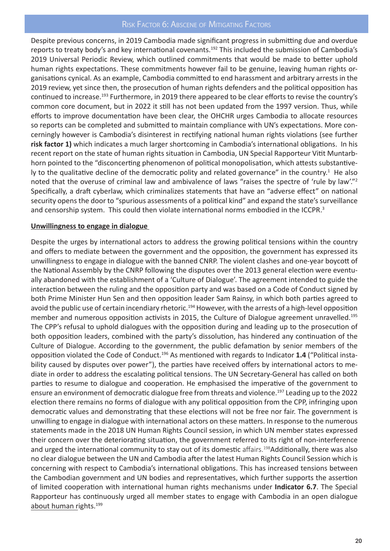Despite previous concerns, in 2019 Cambodia made significant progress in submitting due and overdue reports to treaty body's and key international covenants.<sup>192</sup> This included the submission of Cambodia's 2019 Universal Periodic Review, which outlined commitments that would be made to better uphold human rights expectations. These commitments however fail to be genuine, leaving human rights organisations cynical. As an example, Cambodia committed to end harassment and arbitrary arrests in the 2019 review, yet since then, the prosecution of human rights defenders and the political opposition has continued to increase.193 Furthermore, in 2019 there appeared to be clear efforts to revise the country's common core document, but in 2022 it still has not been updated from the 1997 version. Thus, while efforts to improve documentation have been clear, the OHCHR urges Cambodia to allocate resources so reports can be completed and submitted to maintain compliance with UN's expectations. More concerningly however is Cambodia's disinterest in rectifying national human rights violations (see further **risk factor 1)** which indicates a much larger shortcoming in Cambodia's international obligations. In his recent report on the state of human rights situation in Cambodia, UN Special Rapporteur Vitit Muntarbhorn pointed to the "disconcerting phenomenon of political monopolisation, which attests substantively to the qualitative decline of the democratic polity and related governance" in the country.<sup>1</sup> He also noted that the overuse of criminal law and ambivalence of laws "raises the spectre of 'rule by law'."<sup>2</sup> Specifically, a draft cyberlaw, which criminalizes statements that have an "adverse effect" on national security opens the door to "spurious assessments of a political kind" and expand the state's surveillance and censorship system. This could then violate international norms embodied in the ICCPR.<sup>3</sup>

#### **Unwillingness to engage in dialogue**

Despite the urges by international actors to address the growing political tensions within the country and offers to mediate between the government and the opposition, the government has expressed its unwillingness to engage in dialogue with the banned CNRP. The violent clashes and one-year boycott of the National Assembly by the CNRP following the disputes over the 2013 general election were eventually abandoned with the establishment of a 'Culture of Dialogue'. The agreement intended to guide the interaction between the ruling and the opposition party and was based on a Code of Conduct signed by both Prime Minister Hun Sen and then opposition leader Sam Rainsy, in which both parties agreed to avoid the public use of certain incendiary rhetoric.<sup>194</sup> However, with the arrests of a high-level opposition member and numerous opposition activists in 2015, the Culture of Dialogue agreement unravelled.195 The CPP's refusal to uphold dialogues with the opposition during and leading up to the prosecution of both opposition leaders, combined with the party's dissolution, has hindered any continuation of the Culture of Dialogue. According to the government, the public defamation by senior members of the opposition violated the Code of Conduct.196 As mentioned with regards to Indicator **1.4** ("Political instability caused by disputes over power"), the parties have received offers by international actors to mediate in order to address the escalating political tensions. The UN Secretary-General has called on both parties to resume to dialogue and cooperation. He emphasised the imperative of the government to ensure an environment of democratic dialogue free from threats and violence.<sup>197</sup> Leading up to the 2022 election there remains no forms of dialogue with any political opposition from the CPP, infringing upon democratic values and demonstrating that these elections will not be free nor fair. The government is unwilling to engage in dialogue with international actors on these matters. In response to the numerous statements made in the 2018 UN Human Rights Council session, in which UN member states expressed their concern over the deteriorating situation, the government referred to its right of non-interference and urged the international community to stay out of its domestic affairs.<sup>198</sup>Additionally, there was also no clear dialogue between the UN and Cambodia after the latest Human Rights Council Session which is concerning with respect to Cambodia's international obligations. This has increased tensions between the Cambodian government and UN bodies and representatives, which further supports the assertion of limited cooperation with international human rights mechanisms under **Indicator 6.7**. The Special Rapporteur has continuously urged all member states to engage with Cambodia in an open dialogue about human rights.<sup>199</sup>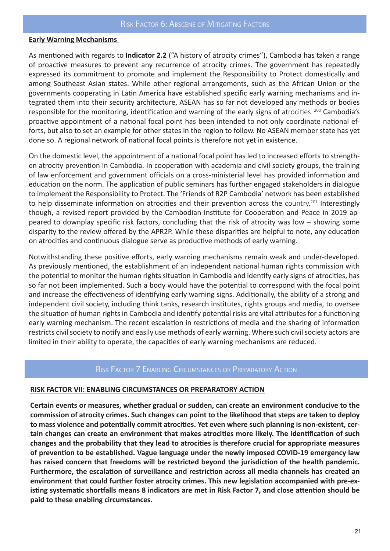#### **Early Warning Mechanisms**

As mentioned with regards to **Indicator 2.2** ("A history of atrocity crimes"), Cambodia has taken a range of proactive measures to prevent any recurrence of atrocity crimes. The government has repeatedly expressed its commitment to promote and implement the Responsibility to Protect domestically and among Southeast Asian states. While other regional arrangements, such as the African Union or the governments cooperating in Latin America have established specific early warning mechanisms and integrated them into their security architecture, ASEAN has so far not developed any methods or bodies responsible for the monitoring, identification and warning of the early signs of atrocities. 200 Cambodia's proactive appointment of a national focal point has been intended to not only coordinate national efforts, but also to set an example for other states in the region to follow. No ASEAN member state has yet done so. A regional network of national focal points is therefore not yet in existence.

On the domestic level, the appointment of a national focal point has led to increased efforts to strengthen atrocity prevention in Cambodia. In cooperation with academia and civil society groups, the training of law enforcement and government officials on a cross-ministerial level has provided information and education on the norm. The application of public seminars has further engaged stakeholders in dialogue to implement the Responsibility to Protect. The 'Friends of R2P Cambodia' network has been established to help disseminate information on atrocities and their prevention across the country.<sup>201</sup> Interestingly though, a revised report provided by the Cambodian Institute for Cooperation and Peace in 2019 appeared to downplay specific risk factors, concluding that the risk of atrocity was low – showing some disparity to the review offered by the APR2P. While these disparities are helpful to note, any education on atrocities and continuous dialogue serve as productive methods of early warning.

Notwithstanding these positive efforts, early warning mechanisms remain weak and under-developed. As previously mentioned, the establishment of an independent national human rights commission with the potential to monitor the human rights situation in Cambodia and identify early signs of atrocities, has so far not been implemented. Such a body would have the potential to correspond with the focal point and increase the effectiveness of identifying early warning signs. Additionally, the ability of a strong and independent civil society, including think tanks, research institutes, rights groups and media, to oversee the situation of human rights in Cambodia and identify potential risks are vital attributes for a functioning early warning mechanism. The recent escalation in restrictions of media and the sharing of information restricts civil society to notify and easily use methods of early warning. Where such civil society actors are limited in their ability to operate, the capacities of early warning mechanisms are reduced.

#### Risk Factor 7 Enabling Circumstances or Preparatory Action

#### **RISK FACTOR VII: ENABLING CIRCUMSTANCES OR PREPARATORY ACTION**

**Certain events or measures, whether gradual or sudden, can create an environment conducive to the commission of atrocity crimes. Such changes can point to the likelihood that steps are taken to deploy to mass violence and potentially commit atrocities. Yet even where such planning is non-existent, certain changes can create an environment that makes atrocities more likely. The identification of such changes and the probability that they lead to atrocities is therefore crucial for appropriate measures of prevention to be established. Vague language under the newly imposed COVID-19 emergency law has raised concern that freedoms will be restricted beyond the jurisdiction of the health pandemic. Furthermore, the escalation of surveillance and restriction across all media channels has created an environment that could further foster atrocity crimes. This new legislation accompanied with pre-existing systematic shortfalls means 8 indicators are met in Risk Factor 7, and close attention should be paid to these enabling circumstances.**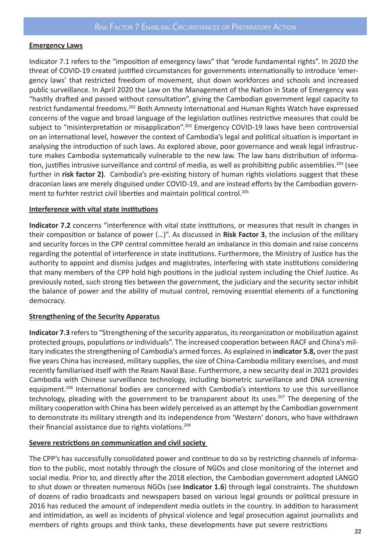#### **Emergency Laws**

Indicator 7.1 refers to the "imposition of emergency laws" that "erode fundamental rights". In 2020 the threat of COVID-19 created justified circumstances for governments internationally to introduce 'emergency laws' that restricted freedom of movement, shut down workforces and schools and increased public surveillance. In April 2020 the Law on the Management of the Nation in State of Emergency was "hastily drafted and passed without consultation", giving the Cambodian government legal capacity to restrict fundamental freedoms.<sup>202</sup> Both Amnesty International and Human Rights Watch have expressed concerns of the vague and broad language of the legislation outlines restrictive measures that could be subject to "misinterpretation or misapplication".<sup>203</sup> Emergency COVID-19 laws have been controversial on an international level, however the context of Cambodia's legal and political situation is important in analysing the introduction of such laws. As explored above, poor governance and weak legal infrastructure makes Cambodia systematically vulnerable to the new law. The law bans distribution of information, justifies intrusive surveillance and control of media, as well as prohibiting public assemblies.<sup>204</sup> (see further in **risk factor 2)**. Cambodia's pre-existing history of human rights violations suggest that these draconian laws are merely disguised under COVID-19, and are instead efforts by the Cambodian government to furhter restrict civil liberties and maintain political control.<sup>205</sup>

#### **Interference with vital state institutions**

**Indicator 7.2** concerns "interference with vital state institutions, or measures that result in changes in their composition or balance of power (…)". As discussed in **Risk Factor 3**, the inclusion of the military and security forces in the CPP central committee herald an imbalance in this domain and raise concerns regarding the potential of interference in state institutions. Furthermore, the Ministry of Justice has the authority to appoint and dismiss judges and magistrates, interfering with state institutions considering that many members of the CPP hold high positions in the judicial system including the Chief Justice. As previously noted, such strong ties between the government, the judiciary and the security sector inhibit the balance of power and the ability of mutual control, removing essential elements of a functioning democracy.

#### **Strengthening of the Security Apparatus**

**Indicator 7.3** refers to "Strengthening of the security apparatus, its reorganization or mobilization against protected groups, populations or individuals". The increased cooperation between RACF and China's military indicates the strengthening of Cambodia's armed forces. As explained in **indicator 5.8,** over the past five years China has increased, military supplies, the size of China-Cambodia military exercises, and most recently familiarised itself with the Ream Naval Base. Furthermore, a new security deal in 2021 provides Cambodia with Chinese surveillance technology, including biometric surveillance and DNA screening equipment.206 International bodies are concerned with Cambodia's intentions to use this surveillance technology, pleading with the government to be transparent about its uses.<sup>207</sup> The deepening of the military cooperation with China has been widely perceived as an attempt by the Cambodian government to demonstrate its military strength and its independence from 'Western' donors, who have withdrawn their financial assistance due to rights violations.<sup>208</sup>

#### **Severe restrictions on communication and civil society**

The CPP's has successfully consolidated power and continue to do so by restricting channels of information to the public, most notably through the closure of NGOs and close monitoring of the internet and social media. Prior to, and directly after the 2018 election, the Cambodian government adopted LANGO to shut down or threaten numerous NGOs (see **Indicator 1.6**) through legal constraints. The shutdown of dozens of radio broadcasts and newspapers based on various legal grounds or political pressure in 2016 has reduced the amount of independent media outlets in the country. In addition to harassment and intimidation, as well as incidents of physical violence and legal prosecution against journalists and members of rights groups and think tanks, these developments have put severe restrictions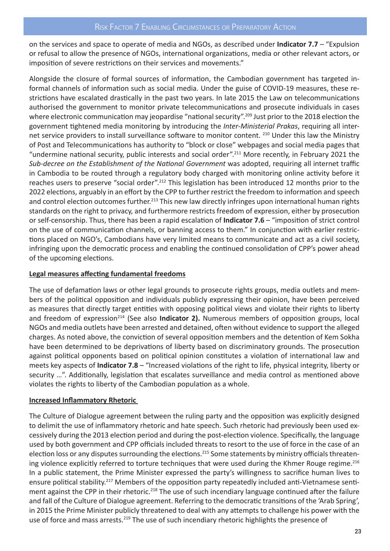on the services and space to operate of media and NGOs, as described under **Indicator 7.7** – "Expulsion or refusal to allow the presence of NGOs, international organizations, media or other relevant actors, or imposition of severe restrictions on their services and movements."

Alongside the closure of formal sources of information, the Cambodian government has targeted informal channels of information such as social media. Under the guise of COVID-19 measures, these restrictions have escalated drastically in the past two years. In late 2015 the Law on telecommunications authorised the government to monitor private telecommunications and prosecute individuals in cases where electronic communication may jeopardise "national security".<sup>209</sup> Just prior to the 2018 election the government tightened media monitoring by introducing the *Inter-Ministerial Prakas*, requiring all internet service providers to install surveillance software to monitor content. <sup>210</sup> Under this law the Ministry of Post and Telecommunications has authority to "block or close" webpages and social media pages that "undermine national security, public interests and social order".211 More recently, in February 2021 the *Sub-decree on the Establishment of the National Government* was adopted, requiring all internet traffic in Cambodia to be routed through a regulatory body charged with monitoring online activity before it reaches users to preserve "social order".212 This legislation has been introduced 12 months prior to the 2022 elections, arguably in an effort by the CPP to further restrict the freedom to information and speech and control election outcomes further.<sup>213</sup> This new law directly infringes upon international human rights standards on the right to privacy, and furthermore restricts freedom of expression, either by prosecution or self-censorship. Thus, there has been a rapid escalation of **Indicator 7.6** – "imposition of strict control on the use of communication channels, or banning access to them." In conjunction with earlier restrictions placed on NGO's, Cambodians have very limited means to communicate and act as a civil society, infringing upon the democratic process and enabling the continued consolidation of CPP's power ahead of the upcoming elections.

#### **Legal measures affecting fundamental freedoms**

The use of defamation laws or other legal grounds to prosecute rights groups, media outlets and members of the political opposition and individuals publicly expressing their opinion, have been perceived as measures that directly target entities with opposing political views and violate their rights to liberty and freedom of expression<sup>214</sup> (See also **Indicator 2).** Numerous members of opposition groups, local NGOs and media outlets have been arrested and detained, often without evidence to support the alleged charges. As noted above, the conviction of several opposition members and the detention of Kem Sokha have been determined to be deprivations of liberty based on discriminatory grounds. The prosecution against political opponents based on political opinion constitutes a violation of international law and meets key aspects of **Indicator 7.8** – "Increased violations of the right to life, physical integrity, liberty or security …". Additionally, legislation that escalates surveillance and media control as mentioned above violates the rights to liberty of the Cambodian population as a whole.

#### **Increased Inflammatory Rhetoric**

The Culture of Dialogue agreement between the ruling party and the opposition was explicitly designed to delimit the use of inflammatory rhetoric and hate speech. Such rhetoric had previously been used excessively during the 2013 election period and during the post-election violence. Specifically, the language used by both government and CPP officials included threats to resort to the use of force in the case of an election loss or any disputes surrounding the elections.<sup>215</sup> Some statements by ministry officials threatening violence explicitly referred to torture techniques that were used during the Khmer Rouge regime.<sup>216</sup> In a public statement, the Prime Minister expressed the party's willingness to sacrifice human lives to ensure political stability.<sup>217</sup> Members of the opposition party repeatedly included anti-Vietnamese sentiment against the CPP in their rhetoric.<sup>218</sup> The use of such incendiary language continued after the failure and fall of the Culture of Dialogue agreement. Referring to the democratic transitions of the 'Arab Spring', in 2015 the Prime Minister publicly threatened to deal with any attempts to challenge his power with the use of force and mass arrests.<sup>219</sup> The use of such incendiary rhetoric highlights the presence of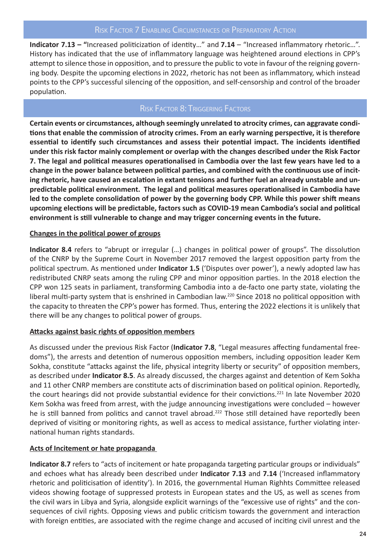**Indicator 7.13 – "**Increased politicization of identity…" and **7.14** – "Increased inflammatory rhetoric…". History has indicated that the use of inflammatory language was heightened around elections in CPP's attempt to silence those in opposition, and to pressure the public to vote in favour of the reigning governing body. Despite the upcoming elections in 2022, rhetoric has not been as inflammatory, which instead points to the CPP's successful silencing of the opposition, and self-censorship and control of the broader population.

#### Risk Factor 8: Triggering Factors

**Certain events or circumstances, although seemingly unrelated to atrocity crimes, can aggravate conditions that enable the commission of atrocity crimes. From an early warning perspective, it is therefore essential to identify such circumstances and assess their potential impact. The incidents identified under this risk factor mainly complement or overlap with the changes described under the Risk Factor 7. The legal and political measures operationalised in Cambodia over the last few years have led to a change in the power balance between political parties, and combined with the continuous use of inciting rhetoric, have caused an escalation in extant tensions and further fuel an already unstable and unpredictable political environment. The legal and political measures operationalised in Cambodia have led to the complete consolidation of power by the governing body CPP. While this power shift means upcoming elections will be predictable, factors such as COVID-19 mean Cambodia's social and political environment is still vulnerable to change and may trigger concerning events in the future.**

#### **Changes in the political power of groups**

**Indicator 8.4** refers to "abrupt or irregular (…) changes in political power of groups". The dissolution of the CNRP by the Supreme Court in November 2017 removed the largest opposition party from the political spectrum. As mentioned under **Indicator 1.5** ('Disputes over power'), a newly adopted law has redistributed CNRP seats among the ruling CPP and minor opposition parties. In the 2018 election the CPP won 125 seats in parliament, transforming Cambodia into a de-facto one party state, violating the liberal multi-party system that is enshrined in Cambodian law.<sup>220</sup> Since 2018 no political opposition with the capacity to threaten the CPP's power has formed. Thus, entering the 2022 elections it is unlikely that there will be any changes to political power of groups.

#### **Attacks against basic rights of opposition members**

As discussed under the previous Risk Factor (**Indicator 7.8**, "Legal measures affecting fundamental freedoms"), the arrests and detention of numerous opposition members, including opposition leader Kem Sokha, constitute "attacks against the life, physical integrity liberty or security" of opposition members, as described under **Indicator 8.5**. As already discussed, the charges against and detention of Kem Sokha and 11 other CNRP members are constitute acts of discrimination based on political opinion. Reportedly, the court hearings did not provide substantial evidence for their convictions.<sup>221</sup> In late November 2020 Kem Sokha was freed from arrest, with the judge announcing investigations were concluded – however he is still banned from politics and cannot travel abroad.<sup>222</sup> Those still detained have reportedly been deprived of visiting or monitoring rights, as well as access to medical assistance, further violating international human rights standards.

#### **Acts of Incitement or hate propaganda**

**Indicator 8.7** refers to "acts of incitement or hate propaganda targeting particular groups or individuals" and echoes what has already been described under **Indicator 7.13** and **7.14** ('Increased inflammatory rhetoric and politicisation of identity'). In 2016, the governmental Human Righhts Committee released videos showing footage of suppressed protests in European states and the US, as well as scenes from the civil wars in Libya and Syria, alongside explicit warnings of the "excessive use of rights" and the consequences of civil rights. Opposing views and public criticism towards the government and interaction with foreign entities, are associated with the regime change and accused of inciting civil unrest and the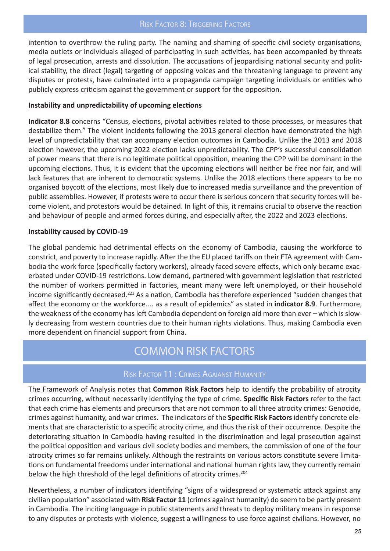#### Risk Factor 8: Triggering Factors

intention to overthrow the ruling party. The naming and shaming of specific civil society organisations, media outlets or individuals alleged of participating in such activities, has been accompanied by threats of legal prosecution, arrests and dissolution. The accusations of jeopardising national security and political stability, the direct (legal) targeting of opposing voices and the threatening language to prevent any disputes or protests, have culminated into a propaganda campaign targeting individuals or entities who publicly express criticism against the government or support for the opposition.

#### **Instability and unpredictability of upcoming elections**

**Indicator 8.8** concerns "Census, elections, pivotal activities related to those processes, or measures that destabilize them." The violent incidents following the 2013 general election have demonstrated the high level of unpredictability that can accompany election outcomes in Cambodia. Unlike the 2013 and 2018 election however, the upcoming 2022 election lacks unpredictability. The CPP's successful consolidation of power means that there is no legitimate political opposition, meaning the CPP will be dominant in the upcoming elections. Thus, it is evident that the upcoming elections will neither be free nor fair, and will lack features that are inherent to democratic systems. Unlike the 2018 elections there appears to be no organised boycott of the elections, most likely due to increased media surveillance and the prevention of public assemblies. However, if protests were to occur there is serious concern that security forces will become violent, and protestors would be detained. In light of this, it remains crucial to observe the reaction and behaviour of people and armed forces during, and especially after, the 2022 and 2023 elections.

#### **Instability caused by COVID-19**

The global pandemic had detrimental effects on the economy of Cambodia, causing the workforce to constrict, and poverty to increase rapidly. After the the EU placed tariffs on their FTA agreement with Cambodia the work force (specifically factory workers), already faced severe effects, which only became exacerbated under COVID-19 restrictions. Low demand, partnered with government legislation that restricted the number of workers permitted in factories, meant many were left unemployed, or their household income significantly decreased.<sup>223</sup> As a nation, Cambodia has therefore experienced "sudden changes that affect the economy or the workforce.... as a result of epidemics" as stated in **indicator 8.9**. Furthermore, the weakness of the economy has left Cambodia dependent on foreign aid more than ever – which is slowly decreasing from western countries due to their human rights violations. Thus, making Cambodia even more dependent on financial support from China.

### COMMON RISK FACTORS

#### Risk Factor 11 : Crimes Agaianst Humanity

The Framework of Analysis notes that **Common Risk Factors** help to identify the probability of atrocity crimes occurring, without necessarily identifying the type of crime. **Specific Risk Factors** refer to the fact that each crime has elements and precursors that are not common to all three atrocity crimes: Genocide, crimes against humanity, and war crimes. The indicators of the **Specific Risk Factors** identify concrete elements that are characteristic to a specific atrocity crime, and thus the risk of their occurrence. Despite the deteriorating situation in Cambodia having resulted in the discrimination and legal prosecution against the political opposition and various civil society bodies and members, the commission of one of the four atrocity crimes so far remains unlikely. Although the restraints on various actors constitute severe limitations on fundamental freedoms under international and national human rights law, they currently remain below the high threshold of the legal definitions of atrocity crimes.<sup>204</sup>

Nevertheless, a number of indicators identifying "signs of a widespread or systematic attack against any civilian population" associated with **Risk Factor 11** (crimes against humanity) do seem to be partly present in Cambodia. The inciting language in public statements and threats to deploy military means in response to any disputes or protests with violence, suggest a willingness to use force against civilians. However, no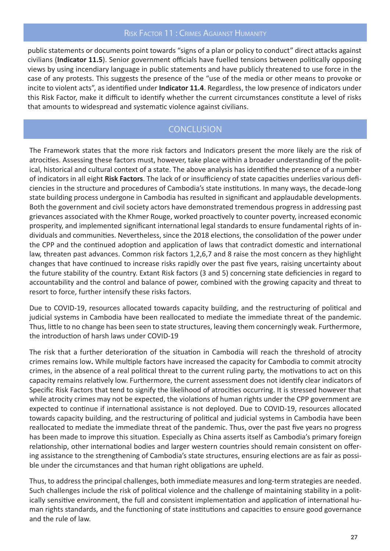#### Risk Factor 11 : Crimes Agaianst Humanity

public statements or documents point towards "signs of a plan or policy to conduct" direct attacks against civilians (**Indicator 11.5**). Senior government officials have fuelled tensions between politically opposing views by using incendiary language in public statements and have publicly threatened to use force in the case of any protests. This suggests the presence of the "use of the media or other means to provoke or incite to violent acts", as identified under **Indicator 11.4**. Regardless, the low presence of indicators under this Risk Factor, make it difficult to identify whether the current circumstances constitute a level of risks that amounts to widespread and systematic violence against civilians.

#### **CONCLUSION**

The Framework states that the more risk factors and Indicators present the more likely are the risk of atrocities. Assessing these factors must, however, take place within a broader understanding of the political, historical and cultural context of a state. The above analysis has identified the presence of a number of indicators in all eight **Risk Factors**. The lack of or insufficiency of state capacities underlies various deficiencies in the structure and procedures of Cambodia's state institutions. In many ways, the decade-long state building process undergone in Cambodia has resulted in significant and applaudable developments. Both the government and civil society actors have demonstrated tremendous progress in addressing past grievances associated with the Khmer Rouge, worked proactively to counter poverty, increased economic prosperity, and implemented significant international legal standards to ensure fundamental rights of individuals and communities. Nevertheless, since the 2018 elections, the consolidation of the power under the CPP and the continued adoption and application of laws that contradict domestic and international law, threaten past advances. Common risk factors 1,2,6,7 and 8 raise the most concern as they highlight changes that have continued to increase risks rapidly over the past five years, raising uncertainty about the future stability of the country. Extant Risk factors (3 and 5) concerning state deficiencies in regard to accountability and the control and balance of power, combined with the growing capacity and threat to resort to force, further intensify these risks factors.

Due to COVID-19, resources allocated towards capacity building, and the restructuring of political and judicial systems in Cambodia have been reallocated to mediate the immediate threat of the pandemic. Thus, little to no change has been seen to state structures, leaving them concerningly weak. Furthermore, the introduction of harsh laws under COVID-19

The risk that a further deterioration of the situation in Cambodia will reach the threshold of atrocity crimes remains low**.** While multiple factors have increased the capacity for Cambodia to commit atrocity crimes, in the absence of a real political threat to the current ruling party, the motivations to act on this capacity remains relatively low. Furthermore, the current assessment does not identify clear indicators of Specific Risk Factors that tend to signify the likelihood of atrocities occurring. It is stressed however that while atrocity crimes may not be expected, the violations of human rights under the CPP government are expected to continue if international assistance is not deployed. Due to COVID-19, resources allocated towards capacity building, and the restructuring of political and judicial systems in Cambodia have been reallocated to mediate the immediate threat of the pandemic. Thus, over the past five years no progress has been made to improve this situation. Especially as China asserts itself as Cambodia's primary foreign relationship, other international bodies and larger western countries should remain consistent on offering assistance to the strengthening of Cambodia's state structures, ensuring elections are as fair as possible under the circumstances and that human right obligations are upheld.

Thus, to address the principal challenges, both immediate measures and long-term strategies are needed. Such challenges include the risk of political violence and the challenge of maintaining stability in a politically sensitive environment, the full and consistent implementation and application of international human rights standards, and the functioning of state institutions and capacities to ensure good governance and the rule of law.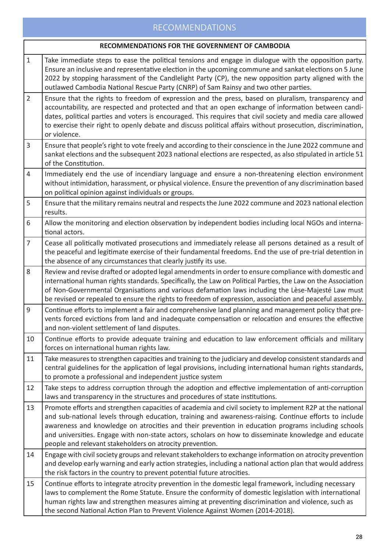#### RECOMMENDATIONS

#### **RECOMMENDATIONS FOR THE GOVERNMENT OF CAMBODIA**

- 1 Take immediate steps to ease the political tensions and engage in dialogue with the opposition party. Ensure an inclusive and representative election in the upcoming commune and sankat elections on 5 June 2022 by stopping harassment of the Candlelight Party (CP), the new opposition party aligned with the outlawed Cambodia National Rescue Party (CNRP) of Sam Rainsy and two other parties.
- 2 Ensure that the rights to freedom of expression and the press, based on pluralism, transparency and accountability, are respected and protected and that an open exchange of information between candidates, political parties and voters is encouraged. This requires that civil society and media care allowed to exercise their right to openly debate and discuss political affairs without prosecution, discrimination, or violence.
- 3 Ensure that people's right to vote freely and according to their conscience in the June 2022 commune and sankat elections and the subsequent 2023 national elections are respected, as also stipulated in article 51 of the Constitution.
- 4 Immediately end the use of incendiary language and ensure a non-threatening election environment without intimidation, harassment, or physical violence. Ensure the prevention of any discrimination based on political opinion against individuals or groups.
- 5 Ensure that the military remains neutral and respects the June 2022 commune and 2023 national election results.
- 6 Allow the monitoring and election observation by independent bodies including local NGOs and international actors.
- 7 Cease all politically motivated prosecutions and immediately release all persons detained as a result of the peaceful and legitimate exercise of their fundamental freedoms. End the use of pre-trial detention in the absence of any circumstances that clearly justify its use.
- 8 Review and revise drafted or adopted legal amendments in order to ensure compliance with domestic and international human rights standards. Specifically, the Law on Political Parties, the Law on the Association of Non-Governmental Organisations and various defamation laws including the Lèse-Majesté Law must be revised or repealed to ensure the rights to freedom of expression, association and peaceful assembly.
- 9 Continue efforts to implement a fair and comprehensive land planning and management policy that prevents forced evictions from land and inadequate compensation or relocation and ensures the effective and non-violent settlement of land disputes.
- 10 Continue efforts to provide adequate training and education to law enforcement officials and military forces on international human rights law.
- 11 Take measures to strengthen capacities and training to the judiciary and develop consistent standards and central guidelines for the application of legal provisions, including international human rights standards, to promote a professional and independent justice system
- 12 Take steps to address corruption through the adoption and effective implementation of anti-corruption laws and transparency in the structures and procedures of state institutions.
- 13 Promote efforts and strengthen capacities of academia and civil society to implement R2P at the national and sub-national levels through education, training and awareness-raising. Continue efforts to include awareness and knowledge on atrocities and their prevention in education programs including schools and universities. Engage with non-state actors, scholars on how to disseminate knowledge and educate people and relevant stakeholders on atrocity prevention.
- 14 Engage with civil society groups and relevant stakeholders to exchange information on atrocity prevention and develop early warning and early action strategies, including a national action plan that would address the risk factors in the country to prevent potential future atrocities.
- 15 Continue efforts to integrate atrocity prevention in the domestic legal framework, including necessary laws to complement the Rome Statute. Ensure the conformity of domestic legislation with international human rights law and strengthen measures aiming at preventing discrimination and violence, such as the second National Action Plan to Prevent Violence Against Women (2014-2018).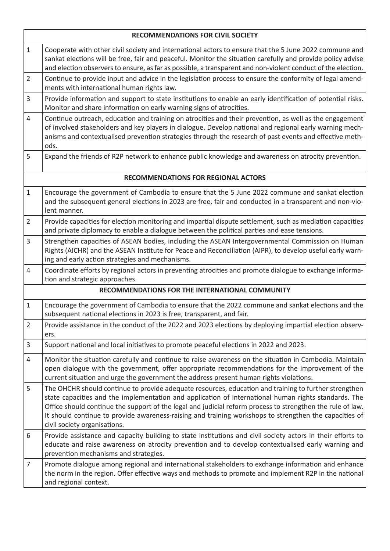| <b>RECOMMENDATIONS FOR CIVIL SOCIETY</b>        |                                                                                                                                                                                                                                                                                                                                                                                                                                                                       |  |  |
|-------------------------------------------------|-----------------------------------------------------------------------------------------------------------------------------------------------------------------------------------------------------------------------------------------------------------------------------------------------------------------------------------------------------------------------------------------------------------------------------------------------------------------------|--|--|
| $\mathbf{1}$                                    | Cooperate with other civil society and international actors to ensure that the 5 June 2022 commune and<br>sankat elections will be free, fair and peaceful. Monitor the situation carefully and provide policy advise<br>and election observers to ensure, as far as possible, a transparent and non-violent conduct of the election.                                                                                                                                 |  |  |
| $\overline{2}$                                  | Continue to provide input and advice in the legislation process to ensure the conformity of legal amend-<br>ments with international human rights law.                                                                                                                                                                                                                                                                                                                |  |  |
| $\overline{3}$                                  | Provide information and support to state institutions to enable an early identification of potential risks.<br>Monitor and share information on early warning signs of atrocities.                                                                                                                                                                                                                                                                                    |  |  |
| $\overline{4}$                                  | Continue outreach, education and training on atrocities and their prevention, as well as the engagement<br>of involved stakeholders and key players in dialogue. Develop national and regional early warning mech-<br>anisms and contextualised prevention strategies through the research of past events and effective meth-<br>ods.                                                                                                                                 |  |  |
| 5                                               | Expand the friends of R2P network to enhance public knowledge and awareness on atrocity prevention.                                                                                                                                                                                                                                                                                                                                                                   |  |  |
| <b>RECOMMENDATIONS FOR REGIONAL ACTORS</b>      |                                                                                                                                                                                                                                                                                                                                                                                                                                                                       |  |  |
| $\mathbf{1}$                                    | Encourage the government of Cambodia to ensure that the 5 June 2022 commune and sankat election<br>and the subsequent general elections in 2023 are free, fair and conducted in a transparent and non-vio-<br>lent manner.                                                                                                                                                                                                                                            |  |  |
| $\overline{2}$                                  | Provide capacities for election monitoring and impartial dispute settlement, such as mediation capacities<br>and private diplomacy to enable a dialogue between the political parties and ease tensions.                                                                                                                                                                                                                                                              |  |  |
| 3                                               | Strengthen capacities of ASEAN bodies, including the ASEAN Intergovernmental Commission on Human<br>Rights (AICHR) and the ASEAN Institute for Peace and Reconciliation (AIPR), to develop useful early warn-<br>ing and early action strategies and mechanisms.                                                                                                                                                                                                      |  |  |
| $\overline{4}$                                  | Coordinate efforts by regional actors in preventing atrocities and promote dialogue to exchange informa-<br>tion and strategic approaches.                                                                                                                                                                                                                                                                                                                            |  |  |
| RECOMMENDATIONS FOR THE INTERNATIONAL COMMUNITY |                                                                                                                                                                                                                                                                                                                                                                                                                                                                       |  |  |
| $\mathbf{1}$                                    | Encourage the government of Cambodia to ensure that the 2022 commune and sankat elections and the<br>subsequent national elections in 2023 is free, transparent, and fair.                                                                                                                                                                                                                                                                                            |  |  |
| $\overline{2}$                                  | Provide assistance in the conduct of the 2022 and 2023 elections by deploying impartial election observ-<br>ers.                                                                                                                                                                                                                                                                                                                                                      |  |  |
| $\mathsf{3}$                                    | Support national and local initiatives to promote peaceful elections in 2022 and 2023.                                                                                                                                                                                                                                                                                                                                                                                |  |  |
| $\overline{4}$                                  | Monitor the situation carefully and continue to raise awareness on the situation in Cambodia. Maintain<br>open dialogue with the government, offer appropriate recommendations for the improvement of the<br>current situation and urge the government the address present human rights violations.                                                                                                                                                                   |  |  |
| 5                                               | The OHCHR should continue to provide adequate resources, education and training to further strengthen<br>state capacities and the implementation and application of international human rights standards. The<br>Office should continue the support of the legal and judicial reform process to strengthen the rule of law.<br>It should continue to provide awareness-raising and training workshops to strengthen the capacities of<br>civil society organisations. |  |  |
| 6                                               | Provide assistance and capacity building to state institutions and civil society actors in their efforts to<br>educate and raise awareness on atrocity prevention and to develop contextualised early warning and<br>prevention mechanisms and strategies.                                                                                                                                                                                                            |  |  |
| $\overline{7}$                                  | Promote dialogue among regional and international stakeholders to exchange information and enhance<br>the norm in the region. Offer effective ways and methods to promote and implement R2P in the national<br>and regional context.                                                                                                                                                                                                                                  |  |  |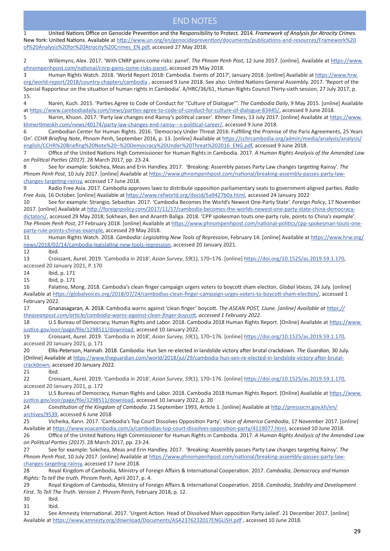#### END NOTES

1 United Nations Office on Genocide Prevention and the Responsibility to Protect. 2014. *Framework of Analysis for Atrocity Crimes*. New York: United Nations. Available at http://www.un.org/en/genocideprevention/documents/publications-and-resources/Framework%20 of%20Analysis%20for%20Atrocity%20Crimes\_EN.pdf, accessed 27 May 2018. 2 Willemyns, Alex. 2017. 'With CNRP gains come risks: panel'. *The Phnom Penh Post*, 12 June 2017. [online]. Available at https://www. phnompenhpost.com/national/cnrp-gains-come-risks-panel, accessed 29 May 2018. 3 Human Rights Watch. 2018. 'World Report 2018: Cambodia. Events of 2017', January 2018. [online] Available at https://www.hrw. org/world-report/2018/country-chapters/cambodia , accessed 9 June 2018. See also: United Nations General Assembly. 2017. 'Report of the Special Rapporteur on the situation of human rights in Cambodia'. A/HRC/36/61, Human Rights Council Thirty-sixth session, 27 July 2017, p. 15. 4 Naren, Kuch. 2015. 'Parties Agree to Code of Conduct for "Culture of Dialogue"'. *The Cambodia Daily*, 9 May 2015. [online] Available at https://www.cambodiadaily.com/news/parties-agree-to-code-of-conduct-for-culture-of-dialogue-83445/, accessed 9 June 2018. 5 Narim, Khuon. 2017. 'Party law changes end Rainsy's political career'. *Khmer Times*, 13 July 2017. [online] Available at https://www. khmertimeskh.com/news/40174/party-law-changes-end-rainsy---s-political-career/, accessed 9 June 2018. 6 Cambodian Center for Human Rights. 2016. 'Democracy Under Threat 2016: Fulfilling the Promise of the Paris Agreements, 25 Years On'. *CCHR Briefing Note*, Phnom Penh, September 2016, p. 13. [online] Available at https://cchrcambodia.org/admin/media/analysis/analysis/ english/CCHR%20Briefing%20Note%20–%20Democracy%20Under%20Threat%202016\_ENG.pdf, accessed 9 June 2018. 7 Office of the United Nations High Commissioner for Human Rights in Cambodia. 2017. *A Human Rights Analysis of the Amended Law on Political Parties (2017)*. 28 March 2017, pp. 23-24. 8 See for example: Sokchea, Meas and Erin Handley. 2017. 'Breaking: Assembly passes Party Law changes targeting Rainsy'. *The Phnom Penh Post*, 10 July 2017. [online] Available at https://www.phnompenhpost.com/national/breaking-assembly-passes-party-lawchanges-targeting-rainsy, accessed 17 June 2018. 9 Radio Free Asia. 2017. Cambodia approves laws to distribute opposition parliamentary seats to government-aligned parties. *Radio Free Asia,* 16 October. [online] Available at https://www.refworld.org/docid/5a9427b0a.html, accessed 24 January 2022 10 See for example: Strangio, Sebastian. 2017. 'Cambodia Becomes the World's Newest One-Party State'. *Foreign Policy*, 17 November 2017. [online] Available at http://foreignpolicy.com/2017/11/17/cambodia-becomes-the-worlds-newest-one-party-state-china-democracydictators/, accessed 29 May 2018; Sokhean, Ben and Ananth Baliga. 2018. 'CPP spokesman touts one-party rule, points to China's example'. *The Phnom Penh Post*, 27 February 2018. [online] Available at https://www.phnompenhpost.com/national-politics/cpp-spokesman-touts-oneparty-rule-points-chinas-example, accessed 29 May 2018. 11 Human Rights Watch. 2018. *Cambodia: Legislating New Tools of Repression*, February 14. [online] Available at https://www.hrw.org/ news/2018/02/14/cambodia-legislating-new-tools-repression, accessed 20 January 2021. 12 Ibid. 13 Croissant, Aurel. 2019. 'Cambodia in 2018', *Asian Survey*, *59*(1), 170–176. [online] https://doi.org/10.1525/as.2019.59.1.170, accessed 20 January 2021, P. 170 14 Ibid, p. 171 15 Ibid, p. 171 16 Palatino, Mong. 2018. Cambodia's clean finger campaign urgers voters to boycott sham election. *Global Voices,* 24 July. [online] Available at https://globalvoices.org/2018/07/24/cambodias-clean-finger-campaign-urges-voters-to-boycott-sham-election/, accessed 1 February 2022. 17 Gnanasagaran, A. 2018. Cambodia warns against 'clean finger' boycott. *The ASEAN POST, 1June. [online] Available at https:// theaseanpost.com/article/cambodia-warns-against-clean-finger-boycott, accessed 1 February 2022.* 18 U.S Bureau of Democracy, Human Rights and Labor. 2018. Cambodia 2018 Human Rights Report. [Online] Available at https://www. justice.gov/eoir/page/file/1298511/download, accessed 10 January 2022. 19 Croissant, Aurel. 2019. 'Cambodia in 2018', *Asian Survey*, *59*(1), 170–176. [online] https://doi.org/10.1525/as.2019.59.1.170, accessed 20 January 2021, p. 171 20 Ellis-Peterson, Hannah. 2018. Cambodia: Hun Sen re-elected in landslide victory after brutal crackdown. *The Guardian*, 30 July. [Online] Available at https://www.theguardian.com/world/2018/jul/29/cambodia-hun-sen-re-elected-in-landslide-victory-after-brutalcrackdown, accessed 20 January 2022. 21 Ibid. 22 Croissant, Aurel. 2019. 'Cambodia in 2018', *Asian Survey*, *59*(1), 170–176. [online] https://doi.org/10.1525/as.2019.59.1.170, accessed 20 January 2021, p. 172 23 U.S Bureau of Democracy, Human Rights and Labor. 2018. Cambodia 2018 Human Rights Report. [Online] Available at https://www. justice.gov/eoir/page/file/1298511/download, accessed 10 January 2022, p. 20 24 *Constitution of the Kingdom of Cambodia*. 21 September 1993, Article 1. [online] Available at http://pressocm.gov.kh/en/ archives/9539, accessed 6 June 2018 25 Vicheika, Kann. 2017. 'Cambodia's Top Court Dissolves Opposition Party'. *Voice of America Cambodia*, 17 November 2017. [online] Available at https://www.voacambodia.com/a/cambodias-top-court-dissolves-opposition-party/4119077.html, accessed 10 June 2018. 26 Office of the United Nations High Commissioner for Human Rights in Cambodia. 2017. *A Human Rights Analysis of the Amended Law on Political Parties (2017)*. 28 March 2017, pp. 23-24. 27 See for example: Sokchea, Meas and Erin Handley. 2017. 'Breaking: Assembly passes Party Law changes targeting Rainsy'. *The Phnom Penh Post*, 10 July 2017. [online] Available at https://www.phnompenhpost.com/national/breaking-assembly-passes-party-lawchanges-targeting-rainsy, accessed 17 June 2018.

28 Royal Kingdom of Cambodia, Ministry of Foreign Affairs & International Cooperation. 2017. *Cambodia, Democracy and Human Rights: To tell the truth*. Phnom Penh, April 2017, p. 4.

29 Royal Kingdom of Cambodia, Ministry of Foreign Affairs & International Cooperation. 2018. *Cambodia, Stability and Development First. To Tell The Truth. Version 2*. Phnom Penh, February 2018, p. 12.

30 Ibid.

31 Ibid.

32 See Amnesty International. 2017. 'Urgent Action. Head of Dissolved Main opposition Party Jailed'. 21 December 2017. [online] Available at https://www.amnesty.org/download/Documents/ASA2376232017ENGLISH.pdf , accessed 10 June 2018.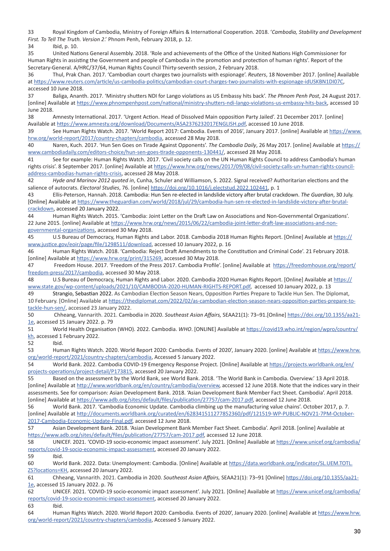33 Royal Kingdom of Cambodia, Ministry of Foreign Affairs & International Cooperation. 2018. '*Cambodia, Stability and Development First. To Tell The Truth. Version 2*.' Phnom Penh, February 2018, p. 12.

34 Ibid, p. 10.

35 United Nations General Assembly. 2018. 'Role and achievements of the Office of the United Nations High Commissioner for Human Rights in assisting the Government and people of Cambodia in the promotion and protection of human rights'. Report of the Secretary-General. A/HRC/37/64, Human Rights Council Thirty-seventh session, 2 February 2018.

36 Thul, Prak Chan. 2017. 'Cambodian court charges two journalists with espionage'. *Reuters*, 18 November 2017. [online] Available at https://www.reuters.com/article/us-cambodia-politics/cambodian-court-charges-two-journalists-with-espionage-idUSKBN1DI07C, accessed 10 June 2018.

37 Baliga, Ananth. 2017. 'Ministry shutters NDI for Lango violations as US Embassy hits back'. *The Phnom Penh Post*, 24 August 2017. [online] Available at https://www.phnompenhpost.com/national/ministry-shutters-ndi-lango-violations-us-embassy-hits-back, accessed 10 June 2018.

38 Amnesty International. 2017. 'Urgent Action. Head of Dissolved Main opposition Party Jailed'. 21 December 2017. [online] Available at https://www.amnesty.org/download/Documents/ASA2376232017ENGLISH.pdf, accessed 10 June 2018.

39 See Human Rights Watch. 2017. 'World Report 2017: Cambodia. Events of 2016', January 2017. [online] Available at https://www. hrw.org/world-report/2017/country-chapters/cambodia, accessed 28 May 2018.

40 Naren, Kuch. 2017. 'Hun Sen Goes on Tirade Against Opponents'. *The Cambodia Daily*, 26 May 2017. [online] Available at https:// www.cambodiadaily.com/editors-choice/hun-sen-goes-tirade-opponents-130441/, accessed 28 May 2018.

41 See for example: Human Rights Watch. 2017. 'Civil society calls on the UN Human Rights Council to address Cambodia's human rights crisis'. 8 September 2017. [online] Available at https://www.hrw.org/news/2017/09/08/civil-society-calls-un-human-rights-counciladdress-cambodias-human-rights-crisis, accessed 28 May 2018.

42 *Hyde and Marinov 2012 quoted in*, Cunha, Schuler and Williamson, S. 2022. Signal received? Authoritarian elections and the salience of autocrats. *Electoral Studies*, 76. [online] https://doi.org/10.1016/j.electstud.2022.102441, p. 1

43 Ellis-Peterson, Hannah. 2018. Cambodia: Hun Sen re-elected in landslide victory after brutal crackdown. *The Guardian*, 30 July. [Online] Available at https://www.theguardian.com/world/2018/jul/29/cambodia-hun-sen-re-elected-in-landslide-victory-after-brutalcrackdown, accessed 20 January 2022.

44 Human Rights Watch. 2015. 'Cambodia: Joint Letter on the Draft Law on Associations and Non-Governmental Organizations'. 22 June 2015. [online] Available at https://www.hrw.org/news/2015/06/22/cambodia-joint-letter-draft-law-associations-and-nongovernmental-organizations, accessed 30 May 2018.

45 U.S Bureau of Democracy, Human Rights and Labor. 2018. Cambodia 2018 Human Rights Report. [Online] Available at https:// www.justice.gov/eoir/page/file/1298511/download, accessed 10 January 2022, p. 16

46 Human Rights Watch. 2018. 'Cambodia: Reject Draft Amendments to the Constitution and Criminal Code'. 21 February 2018. [online] Available at https://www.hrw.org/print/315269, accessed 30 May 2018.

47 Freedom House. 2017. 'Freedom of the Press 2017. Cambodia Profile'. [online] Available at https://freedomhouse.org/report/ freedom-press/2017/cambodia, accessed 30 May 2018.

48 U.S Bureau of Democracy, Human Rights and Labor. 2020. Cambodia 2020 Human Rights Report. [Online] Available at https:// www.state.gov/wp-content/uploads/2021/10/CAMBODIA-2020-HUMAN-RIGHTS-REPORT.pdf, accessed 10 January 2022, p. 13

49 Strangio, Sebastian 2022. As Cambodian Election Season Nears, Opposition Parties Prepare to Tackle Hun Sen. The Diplomat, 10 February. [Online] Available at https://thediplomat.com/2022/02/as-cambodian-election-season-nears-opposition-parties-prepare-totackle-hun-sen/, accessed 23 January 2022.

50 Chheang, Vannarith. 2021. Cambodia in 2020. *Southeast Asian Affairs,* SEAA21(1): 73–91.[Online] https://doi.org/10.1355/aa21- 1e, accessed 15 January 2022. p. 79

51 World Health Organisation (WHO). 2022. Cambodia. *WHO*. [ONLINE] Available at https://covid19.who.int/region/wpro/country/ kh, accessed 1 February 2022.

52 Ibid.

53 Human Rights Watch. 2020. World Report 2020: Cambodia. Events of 2020', January 2020. [online] Available at https://www.hrw. org/world-report/2021/country-chapters/cambodia, Accessed 5 January 2022.

54 World Bank. 2022. Cambodia COVID-19 Emergency Response Project. [Online] Available at https://projects.worldbank.org/en/ projects-operations/project-detail/P173815, accessed 20 January 2022.

55 Based on the assessment by the World Bank, see World Bank. 2018. 'The World Bank in Cambodia. Overview.' 13 April 2018. [online] Available at http://www.worldbank.org/en/country/cambodia/overview, accessed 12 June 2018. Note that the indices vary in their assessments. See for comparison: Asian Development Bank. 2018. 'Asian Development Bank Member Fact Sheet. Cambodia'. April 2018. [online] Available at https://www.adb.org/sites/default/files/publication/27757/cam-2017.pdf, accessed 12 June 2018.

56 World Bank. 2017. 'Cambodia Economic Update. Cambodia climbing up the manufacturing value chains'. October 2017, p. 7. [online] Available at http://documents.worldbank.org/curated/en/628341511277852360/pdf/121519-WP-PUBLIC-NOV21-7PM-October-2017-Cambodia-Economic-Update-Final.pdf, accessed 12 June 2018.

57 Asian Development Bank. 2018. 'Asian Development Bank Member Fact Sheet. Cambodia'. April 2018. [online] Available at https://www.adb.org/sites/default/files/publication/27757/cam-2017.pdf, accessed 12 June 2018.

58 UNICEF. 2021. 'COVID-19 socio-economic impact assessment'. July 2021. [Online] Available at https://www.unicef.org/cambodia/ reports/covid-19-socio-economic-impact-assessment, accessed 20 January 2022.

59 Ibid.

60 World Bank. 2022. Data: Unemployment: Cambodia. [Online] Available at https://data.worldbank.org/indicator/SL.UEM.TOTL. ZS?locations=KH, accessed 20 January 2022.

61 Chheang, Vannarith. 2021. Cambodia in 2020. *Southeast Asian Affairs,* SEAA21(1): 73–91 [Online] https://doi.org/10.1355/aa21- 1e, accessed 15 January 2022. p. 76

62 UNICEF. 2021. 'COVID-19 socio-economic impact assessment'. July 2021. [Online] Available at https://www.unicef.org/cambodia/ reports/covid-19-socio-economic-impact-assessment, accessed 20 January 2022.

63 Ibid.

64 Human Rights Watch. 2020. World Report 2020: Cambodia. Events of 2020', January 2020. [online] Available at https://www.hrw. org/world-report/2021/country-chapters/cambodia, Accessed 5 January 2022.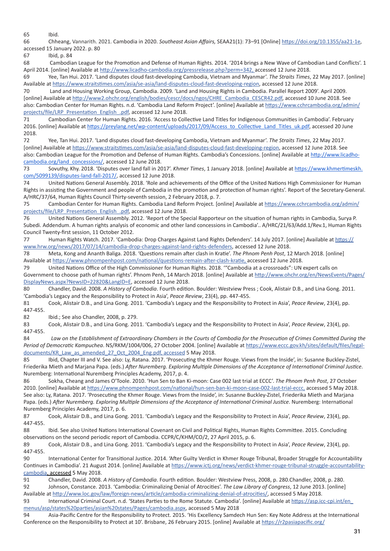65 Ibid.

66 Chheang, Vannarith. 2021. Cambodia in 2020. *Southeast Asian Affairs,* SEAA21(1): 73–91 [Online] https://doi.org/10.1355/aa21-1e, accessed 15 January 2022. p. 80

67 Ibid, p. 84

68 Cambodian League for the Promotion and Defense of Human Rights. 2014. '2014 brings a New Wave of Cambodian Land Conflicts'. 1 April 2014. [online] Available at http://www.licadho-cambodia.org/pressrelease.php?perm=342, accessed 12 June 2018.

69 Yee, Tan Hui. 2017. 'Land disputes cloud fast-developing Cambodia, Vietnam and Myanmar'. *The Straits Times*, 22 May 2017. [online] Available at https://www.straitstimes.com/asia/se-asia/land-disputes-cloud-fast-developing-region, accessed 12 June 2018.

70 Land and Housing Working Group, Cambodia. 2009. 'Land and Housing Rights in Cambodia. Parallel Report 2009'. April 2009. [online] Available at http://www2.ohchr.org/english/bodies/cescr/docs/ngos/CHRE\_Cambodia\_CESCR42.pdf, accessed 10 June 2018. See also: Cambodian Center for Human Rights. n.d. 'Cambodia Land Reform Project'. [online] Available at https://www.cchrcambodia.org/admin/ projects/file/LRP\_Presentation\_English\_.pdf, accessed 12 June 2018.

71 Cambodian Center for Human Rights. 2016. 'Access to Collective Land Titles for Indigenous Communities in Cambodia'. February 2016. [online] Available at https://preylang.net/wp-content/uploads/2017/09/Access\_to\_Collective\_Land\_Titles\_uk.pdf, accessed 20 June 2018.

72 Yee, Tan Hui. 2017. 'Land disputes cloud fast-developing Cambodia, Vietnam and Myanmar'. *The Straits Times*, 22 May 2017. [online] Available at https://www.straitstimes.com/asia/se-asia/land-disputes-cloud-fast-developing-region, accessed 12 June 2018. See also: Cambodian League for the Promotion and Defense of Human Rights. Cambodia's Concessions. [online] Available at http://www.licadhocambodia.org/land\_concessions/, accessed 12 June 2018.

73 Sovuthy, Khy. 2018. 'Disputes over land fall in 2017'. *Khmer Times*, 1 January 2018. [online] Available at https://www.khmertimeskh. com/5099139/disputes-land-fall-2017/, accessed 12 June 2018.

74 United Nations General Assembly. 2018. 'Role and achievements of the Office of the United Nations High Commissioner for Human Rights in assisting the Government and people of Cambodia in the promotion and protection of human rights'. Report of the Secretary-General. A/HRC/37/64, Human Rights Council Thirty-seventh session, 2 February 2018, p. 7.

75 Cambodian Center for Human Rights. Cambodia Land Reform Project. [online] Available at https://www.cchrcambodia.org/admin/ projects/file/LRP\_Presentation\_English\_.pdf, accessed 12 June 2018.

76 United Nations General Assembly. 2012. 'Report of the Special Rapporteur on the situation of human rights in Cambodia, Surya P. Subedi. Addendum. A human rights analysis of economic and other land concessions in Cambodia'.. A/HRC/21/63/Add.1/Rev.1, Human Rights Council Twenty-first session, 11 October 2012.

77 Human Rights Watch. 2017. 'Cambodia: Drop Charges Against Land Rights Defenders'. 14 July 2017. [online] Available at https:// www.hrw.org/news/2017/07/14/cambodia-drop-charges-against-land-rights-defenders, accessed 12 June 2018.

78 Meta, Kong and Ananth Baliga. 2018. 'Questions remain after clash in Kratie'. *The Phnom Penh Post*, 12 March 2018. [online] Available at https://www.phnompenhpost.com/national/questions-remain-after-clash-kratie, accessed 12 June 2018.

79 United Nations Office of the High Commissioner for Human Rights. 2018. '"Cambodia at a crossroads": UN expert calls on Government to choose path of human rights'. Phnom Penh, 14 March 2018. [online] Available at http://www.ohchr.org/en/NewsEvents/Pages/ DisplayNews.aspx?NewsID=22820&LangID=E, accessed 12 June 2018.

80 Chandler, David. 2008. *A History of Cambodia*. Fourth edition. Boulder: Westview Press ; Cook, Alistair D.B., and Lina Gong. 2011. 'Cambodia's Legacy and the Responsibility to Protect in Asia', *Peace Review*, 23(4), pp. 447-455.

81 Cook, Alistair D.B., and Lina Gong. 2011. 'Cambodia's Legacy and the Responsibility to Protect in Asia', *Peace Review*, 23(4), pp. 447-455.

82 Ibid.; See also Chandler, 2008, p. 279.

83 Cook, Alistair D.B., and Lina Gong. 2011. 'Cambodia's Legacy and the Responsibility to Protect in Asia', *Peace Review*, 23(4), pp. 447-455.

84 *Law on the Establishment of Extraordinary Chambers in the Courts of Cambodia for the Prosecution of Crimes Committed During the Period of Democratic Kampuchea*. NS/RKM/1004/006, 27 October 2004. [online] Available at https://www.eccc.gov.kh/sites/default/files/legaldocuments/KR\_Law\_as\_amended\_27\_Oct\_2004\_Eng.pdf, accessed 5 May 2018.

85 Ibid, Chapter III and V. See also: Ly, Ratana. 2017. 'Prosecuting the Khmer Rouge. Views from the Inside', in: Susanne Buckley-Zistel, Friederika Mieth and Marjana Papa. (eds.) *After Nuremberg. Exploring Multiple Dimensions of the Acceptance of International Criminal Justice*. Nuremberg: International Nuremberg Principles Academy, 2017, p. 4.

86 Sokha, Cheang and James O'Toole. 2010. 'Hun Sen to Ban Ki-moon: Case 002 last trial at ECCC'. *The Phnom Penh Post*, 27 October 2010. [online] Available at https://www.phnompenhpost.com/national/hun-sen-ban-ki-moon-case-002-last-trial-eccc, accessed 5 May 2018. See also: Ly, Ratana. 2017. 'Prosecuting the Khmer Rouge. Views from the Inside', in: Susanne Buckley-Zistel, Friederika Mieth and Marjana Papa. (eds.) *After Nuremberg. Exploring Multiple Dimensions of the Acceptance of International Criminal Justice*. Nuremberg: International Nuremberg Principles Academy, 2017, p. 6.

87 Cook, Alistair D.B., and Lina Gong. 2011. 'Cambodia's Legacy and the Responsibility to Protect in Asia', *Peace Review*, 23(4), pp. 447-455.

88 Ibid. See also United Nations International Covenant on Civil and Political Rights, Human Rights Committee. 2015. Concluding observations on the second periodic report of Cambodia. CCPR/C/KHM/CO/2, 27 April 2015, p. 6.

89 Cook, Alistair D.B., and Lina Gong. 2011. 'Cambodia's Legacy and the Responsibility to Protect in Asia', *Peace Review*, 23(4), pp. 447-455.

90 International Center for Transitional Justice. 2014. 'After Guilty Verdict in Khmer Rouge Tribunal, Broader Struggle for Accountability Continues in Cambodia'. 21 August 2014. [online] Available at https://www.ictj.org/news/verdict-khmer-rouge-tribunal-struggle-accountabilitycambodia, accessed 5 May 2018.

91 Chandler, David. 2008. *A History of Cambodia*. Fourth edition. Boulder: Westview Press, 2008, p. 280.Chandler, 2008, p. 280. 92 Johnson, Constance. 2013. 'Cambodia: Criminalizing Denial of Atrocities'. *The Law Library of Congress*, 12 June 2013. [online]

Available at http://www.loc.gov/law/foreign-news/article/cambodia-criminalizing-denial-of-atrocities/, accessed 5 May 2018.

93 International Criminal Court. n.d. 'States Parties to the Rome Statute. Cambodia'. [online] Available at https://asp.icc-cpi.int/en menus/asp/states%20parties/asian%20states/Pages/cambodia.aspx, accessed 5 May 2018

94 Asia-Pacific Centre for the Responsibility to Protect. 2015. 'His Excellency Samdech Hun Sen: Key Note Address at the International Conference on the Responsibility to Protect at 10'. Brisbane, 26 February 2015. [online] Available at https://r2pasiapacific.org/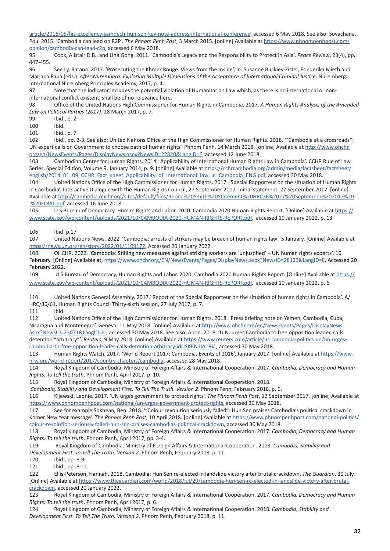article/2016/05/his-excellency-samdech-hun-sen-key-note-address-international-conference, accessed 6 May 2018. See also: Sovachana, Pou. 2015. 'Cambodia can lead on R2P'. *The Phnom Penh Post*, 3 March 2015. [online] Available at https://www.phnompenhpost.com/ opinion/cambodia-can-lead-r2p, accessed 6 May 2018.

95 Cook, Alistair D.B., and Lina Gong. 2011. 'Cambodia's Legacy and the Responsibility to Protect in Asia', *Peace Review*, 23(4), pp. 447-455.

96 See Ly, Ratana. 2017. 'Prosecuting the Khmer Rouge. Views from the Inside', in: Susanne Buckley-Zistel, Friederika Mieth and Marjana Papa (eds.) *After Nuremberg. Exploring Multiple Dimensions of the Acceptance of International Criminal Justice*. Nuremberg: International Nuremberg Principles Academy, 2017, p. 4.

97 Note that the indicator includes the potential violation of Humanitarian Law which, as there is no international or noninternational conflict existent, shall be of no relevance here.

98 Office of the United Nations High Commissioner for Human Rights in Cambodia. 2017. *A Human Rights Analysis of the Amended Law on Political Parties (2017)*. 28 March 2017, p. 7.

99 Ibid., p. 2.

100 Ibid.

101 Ibid., p. 7.

102 Ibid., pp. 2-3. See also: United Nations Office of the High Commissioner for Human Rights. 2018. '"Cambodia at a crossroads": UN expert calls on Government to choose path of human rights'. Phnom Penh, 14 March 2018. [online] Available at http://www.ohchr. org/en/NewsEvents/Pages/DisplayNews.aspx?NewsID=22820&LangID=E, accessed 12 June 2018.

103 Cambodian Center for Human Rights. 2014. 'Applicability of International Human Rights Law in Cambodia'. CCHR Rule of Law Series. Special Edition, Volume 9. January 2014, p. 9. [online] Available at https://cchrcambodia.org/admin/media/factsheet/factsheet/ english/2014\_01\_09\_CCHR\_Fact\_sheet\_Applicability\_of\_international\_law\_in\_Cambodia\_ENG.pdf, accessed 30 May 2018.

104 United Nations Office of the High Commissioner for Human Rights. 2017. 'Special Rapporteur on the situation of Human Rights in Cambodia'. Interactive Dialogue with the Human Rights Council, 27 September 2017. Initial statement. 27 September 2017. [online] Available at http://cambodia.ohchr.org/sites/default/files/Rhona%20Smith%20Statement%20HRC36%2027%20September%202017%20 -%20FINAL.pdf, accessed 16 June 2018.

105 U.S Bureau of Democracy, Human Rights and Labor. 2020. Cambodia 2020 Human Rights Report. [Online] Available at https:// www.state.gov/wp-content/uploads/2021/10/CAMBODIA-2020-HUMAN-RIGHTS-REPORT.pdf, accessed 10 January 2022, p. 13

106 Ibid. p,17

107 United Nations News. 2022. 'Cambodia: arrests of strikers may be breach of human rights law', 5 January. [Online] Available at https://news.un.org/en/story/2022/01/1109172, Accessed 20 January 2022.

108 OHCHR. 2022. 'Cambodia: Stifling new measures against striking workers are 'unjustified' – UN human rights experts', 16 February. [Online] Available at, https://www.ohchr.org/EN/NewsEvents/Pages/DisplayNews.aspx?NewsID=28123&LangID=E, Accessed 20 February 2022.

109 U.S Bureau of Democracy, Human Rights and Labor. 2020. Cambodia 2020 Human Rights Report. [Online] Available at https:// www.state.gov/wp-content/uploads/2021/10/CAMBODIA-2020-HUMAN-RIGHTS-REPORT.pdf, accessed 10 January 2022, p. 6

110 United Nations General Assembly. 2017.' Report of the Special Rapporteur on the situation of human rights in Cambodia'. A/ HRC/36/61, Human Rights Council Thirty-sixth session, 27 July 2017, p. 7.

111 Ibid.

112 United Nations Office of the High Commissioner for Human Rights. 2018. 'Press briefing note on Yemen, Cambodia, Cuba, Nicaragua and Montenegro'. Geneva, 11 May 2018. [online] Available at http://www.ohchr.org/en/NewsEvents/Pages/DisplayNews. aspx?NewsID=23071&LangID=E , accessed 30 May 2018. See also: Anon. 2018. 'U.N. urges Cambodia to free opposition leader, calls detention "arbitrary"'. *Reuters*, 9 May 2018. [online] Available at https://www.reuters.com/article/us-cambodia-politics-un/un-urgescambodia-to-free-opposition-leader-calls-detention-arbitrary-idUSKBN1IA18V , accessed 30 May 2018.

113 Human Rights Watch. 2017. 'World Report 2017: Cambodia. Events of 2016', January 2017. [online] Available at https://www. hrw.org/world-report/2017/country-chapters/cambodia, accessed 28 May 2018.

114 Royal Kingdom of Cambodia, Ministry of Foreign Affairs & International Cooperation. 2017. *Cambodia, Democracy and Human Rights: To tell the truth*. Phnom Penh, April 2017, p. 10.

115 Royal Kingdom of Cambodia, Ministry of Foreign Affairs & International Cooperation. 2018.

*Cambodia, Stability and Development First. To Tell The Truth. Version 2*. Phnom Penh, February 2018, p. 6.

116 Kijewski, Leonie. 2017. 'UN urges government to protect rights'. *The Phnom Penh Post*, 12 September 2017. [online] Available at https://www.phnompenhpost.com/national/un-urges-government-protect-rights, accessed 30 May 2018.

117 See for example Sokhean, Ben. 2018. '"Colour revolution seriously failed": Hun Sen praises Cambodia's political crackdown in Khmer New Year message'. *The Phnom Penh Post*, 10 April 2018. [online] Available at https://www.phnompenhpost.com/national-politics/ colour-revolution-seriously-failed-hun-sen-praises-cambodias-political-crackdown, accessed 30 May 2018.

118 Royal Kingdom of Cambodia, Ministry of Foreign Affairs & International Cooperation. 2017. *Cambodia, Democracy and Human Rights: To tell the truth*. Phnom Penh, April 2017, pp. 3-4.

119 Royal Kingdom of Cambodia, Ministry of Foreign Affairs & International Cooperation. 2018. *Cambodia, Stability and Development First. To Tell The Truth. Version 2*. Phnom Penh, February 2018, p. 11.

120 Ibid., pp. 8-9.

121 Ibid., pp. 8-11.

122 Ellis-Peterson, Hannah. 2018. Cambodia: Hun Sen re-elected in landslide victory after brutal crackdown. *The Guardian*, 30 July. [Online] Available at https://www.theguardian.com/world/2018/jul/29/cambodia-hun-sen-re-elected-in-landslide-victory-after-brutalcrackdown, accessed 20 January 2022.

123 Royal Kingdom of Cambodia, Ministry of Foreign Affairs & International Cooperation. 2017. *Cambodia, Democracy and Human Rights: To tell the truth*. Phnom Penh, April 2017, p. 6.

124 Royal Kingdom of Cambodia, Ministry of Foreign Affairs & International Cooperation. 2018. *Cambodia, Stability and Development First. To Tell The Truth. Version 2*. Phnom Penh, February 2018, p. 11.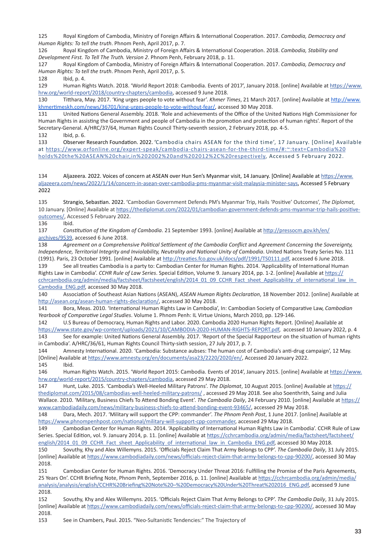125 Royal Kingdom of Cambodia, Ministry of Foreign Affairs & International Cooperation. 2017. *Cambodia, Democracy and Human Rights: To tell the truth*. Phnom Penh, April 2017, p. 7.

126 Royal Kingdom of Cambodia, Ministry of Foreign Affairs & International Cooperation. 2018. *Cambodia, Stability and Development First. To Tell The Truth. Version 2*. Phnom Penh, February 2018, p. 11.

127 Royal Kingdom of Cambodia, Ministry of Foreign Affairs & International Cooperation. 2017. *Cambodia, Democracy and Human Rights: To tell the truth*. Phnom Penh, April 2017, p. 5.

128 Ibid, p. 4.

129 Human Rights Watch. 2018. 'World Report 2018: Cambodia. Events of 2017', January 2018. [online] Available at https://www. hrw.org/world-report/2018/country-chapters/cambodia, accessed 9 June 2018.

130 Titthara, May. 2017. 'King urges people to vote without fear'. *Khmer Times*, 21 March 2017. [online] Available at http://www. khmertimeskh.com/news/36701/king-urges-people-to-vote-without-fear/, accessed 30 May 2018.

131 United Nations General Assembly. 2018. 'Role and achievements of the Office of the United Nations High Commissioner for Human Rights in assisting the Government and people of Cambodia in the promotion and protection of human rights'. Report of the Secretary-General. A/HRC/37/64, Human Rights Council Thirty-seventh session, 2 February 2018, pp. 4-5. 132 Ibid, p. 6.

133 Observer Research Foundation. 2022. 'Cambodia chairs ASEAN for the third time', 17 January. [Online] Available at https://www.orfonline.org/expert-speak/cambodia-chairs-asean-for-the-third-time/#:~:text=Cambodia%20 holds%20the%20ASEAN%20chair,in%202002%20and%202012%2C%20respectively, Accessed 5 February 2022.

134 Aljazeera. 2022. Voices of concern at ASEAN over Hun Sen's Myanmar visit, 14 January. [Online] Available at https://www. aljazeera.com/news/2022/1/14/concern-in-asean-over-cambodia-pms-myanmar-visit-malaysia-minister-says, Accessed 5 February 2022

135 Strangio, Sebastian. 2022. 'Cambodian Government Defends PM's Myanmar Trip, Hails 'Positive' Outcomes', *The Diplomat,*  10 January. [Online] Available at https://thediplomat.com/2022/01/cambodian-government-defends-pms-myanmar-trip-hails-positiveoutcomes/, Accessed 5 February 2022.

136 Ibid.

137 *Constitution of the Kingdom of Cambodia*. 21 September 1993. [online] Available at http://pressocm.gov.kh/en/ archives/9539, accessed 6 June 2018.

138 *Agreement on a Comprehensive Political Settlement of the Cambodia Conflict* and *Agreement Concerning the Sovereignty, Independence, Territorial Integrity and Inviolability, Neutrality and National Unity of Cambodia*. United Nations Treaty Series No. 111 (1991). Paris, 23 October 1991. [online] Available at http://treaties.fco.gov.uk/docs/pdf/1991/TS0111.pdf, accessed 6 June 2018.

139 See all treaties Cambodia is a party to: Cambodian Center for Human Rights. 2014. 'Applicability of International Human Rights Law in Cambodia'. *CCHR Rule of Law Series*. Special Edition, Volume 9. January 2014, pp. 1-2. [online] Available at https:// cchrcambodia.org/admin/media/factsheet/factsheet/english/2014\_01\_09\_CCHR\_Fact\_sheet\_Applicability\_of\_international\_law\_in Cambodia\_ENG.pdf, accessed 30 May 2018.

140 Association of Southeast Asian Nations (ASEAN), *ASEAN Human Rights Declaration*, 18 November 2012. [online] Available at http://asean.org/asean-human-rights-declaration/, accessed 30 May 2018.

141 Bora, Meas. 2010. 'International Human Rights Law in Cambodia', In: Cambodian Society of Comparative Law, *Cambodian Yearbook of Comparative Legal Studies*. Volume 1. Phnom Penh: IL Virtue Unions, March 2010, pp. 129-146.

142 U.S Bureau of Democracy, Human Rights and Labor. 2020. Cambodia 2020 Human Rights Report. [Online] Available at https://www.state.gov/wp-content/uploads/2021/10/CAMBODIA-2020-HUMAN-RIGHTS-REPORT.pdf, accessed 10 January 2022, p. 4 143 See for example: United Nations General Assembly. 2017. 'Report of the Special Rapporteur on the situation of human rights in Cambodia'. A/HRC/36/61, Human Rights Council Thirty-sixth session, 27 July 2017, p. 7.

144 Amnesty International. 2020. 'Cambodia: Substance aubses: The human cost of Cambodia's anti-drug campaign', 12 May. [Online] Available at https://www.amnesty.org/en/documents/asa23/2220/2020/en/, Accessed 20 January 2022. 145 Ibid.

146 Human Rights Watch. 2015. 'World Report 2015: Cambodia. Events of 2014', January 2015. [online] Available at https://www. hrw.org/world-report/2015/country-chapters/cambodia, accessed 29 May 2018.

147 Hunt, Luke. 2015. 'Cambodia's Well-Heeled Military Patrons'. *The Diplomat*, 10 August 2015. [online] Available at https:// thediplomat.com/2015/08/cambodias-well-heeled-military-patrons/ , accessed 29 May 2018. See also Soenthrith, Saing and Julia Wallace. 2010. 'Military, Business Chiefs To Attend Bonding Event'. *The Cambodia Daily*, 24 February 2010. [online] Available at https:// www.cambodiadaily.com/news/military-business-chiefs-to-attend-bonding-event-93465/, accessed 29 May 2018.

148 Dara, Mech. 2017. 'Military will support the CPP: commander'. *The Phnom Penh Post*, 1 June 2017. [online] Available at https://www.phnompenhpost.com/national/military-will-support-cpp-commander, accessed 29 May 2018.

149 Cambodian Center for Human Rights. 2014. 'Applicability of International Human Rights Law in Cambodia'. CCHR Rule of Law Series. Special Edition, vol. 9. January 2014, p. 11. [online] Available at https://cchrcambodia.org/admin/media/factsheet/factsheet/ english/2014\_01\_09\_CCHR\_Fact\_sheet\_Applicability\_of\_international\_law\_in\_Cambodia\_ENG.pdf, accessed 30 May 2018.

150 Sovuthy, Khy and Alex Willemyns. 2015. 'Officials Reject Claim That Army Belongs to CPP'. *The Cambodia Daily*, 31 July 2015. [online] Available at https://www.cambodiadaily.com/news/officials-reject-claim-that-army-belongs-to-cpp-90200/, accessed 30 May 2018.

151 Cambodian Center for Human Rights. 2016. 'Democracy Under Threat 2016: Fulfilling the Promise of the Paris Agreements, 25 Years On'. CCHR Briefing Note, Phnom Penh, September 2016, p. 11. [online] Available at https://cchrcambodia.org/admin/media/ analysis/analysis/english/CCHR%20Briefing%20Note%20–%20Democracy%20Under%20Threat%202016\_ENG.pdf, accessed 9 June 2018.

152 Sovuthy, Khy and Alex Willemyns. 2015. 'Officials Reject Claim That Army Belongs to CPP'. *The Cambodia Daily*, 31 July 2015. [online] Available at https://www.cambodiadaily.com/news/officials-reject-claim-that-army-belongs-to-cpp-90200/, accessed 30 May 2018.

153 See in Chambers, Paul. 2015. "Neo-Sultanistic Tendencies:" The Trajectory of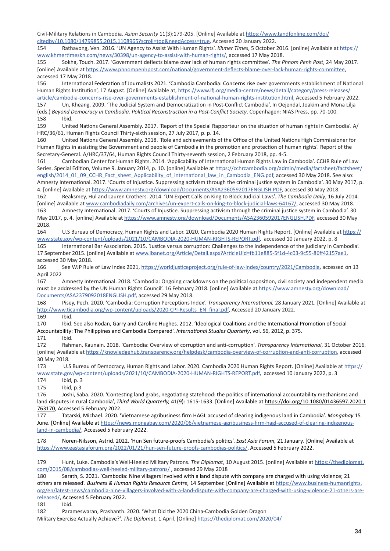Civil-Military Relations in Cambodia. *Asian Security* 11(3):179-205. [Online] Available at https://www.tandfonline.com/doi/ citedby/10.1080/14799855.2015.1108965?scroll=top&needAccess=true, Accessed 20 January 2022.

154 Rathavong, Ven. 2016. 'UN Agency to Assist With Human Rights'. *Khmer Times*, 5 October 2016. [online] Available at https:// www.khmertimeskh.com/news/30398/un-agency-to-assist-with-human-rights/, accessed 17 May 2018.

155 Sokha, Touch. 2017. 'Government deflects blame over lack of human rights committee'. *The Phnom Penh Post*, 24 May 2017. [online] Available at https://www.phnompenhpost.com/national/government-deflects-blame-over-lack-human-rights-committee, accessed 17 May 2018.

156 International Federation of Journalists 2021. 'Cambodia Cambodia: Concerns rise over governments establishment of National Human Rights Institution', 17 August. [Online] Available at, https://www.ifj.org/media-centre/news/detail/category/press-releases/ article/cambodia-concerns-rise-over-governments-establishment-of-national-human-rights-institution.html, Accessed 5 February 2022.

157 Un, Kheang. 2009. 'The Judicial System and Democratization in Post-Conflict Cambodia', In Oejendal, Joakim and Mona Lilja (eds.) *Beyond Democracy in Cambodia. Political Reconstruction in a Post-Conflict Society*. Copenhagen: NIAS Press, pp. 70-100. 158 Ibid.

159 United Nations General Assembly. 2017. 'Report of the Special Rapporteur on the situation of human rights in Cambodia'. A/ HRC/36/61, Human Rights Council Thirty-sixth session, 27 July 2017, p. p. 14.

160 United Nations General Assembly. 2018. 'Role and achievements of the Office of the United Nations High Commissioner for Human Rights in assisting the Government and people of Cambodia in the promotion and protection of human rights'. Report of the Secretary-General. A/HRC/37/64, Human Rights Council Thirty-seventh session, 2 February 2018, pp. 4-5.

161 Cambodian Center for Human Rights. 2014. 'Applicability of International Human Rights Law in Cambodia'. CCHR Rule of Law Series. Special Edition, Volume 9. January 2014, p. 10. [online] Available at https://cchrcambodia.org/admin/media/factsheet/factsheet/ english/2014\_01\_09\_CCHR\_Fact\_sheet\_Applicability\_of\_international\_law\_in\_Cambodia\_ENG.pdf, accessed 30 May 2018. See also: Amnesty International. 2017. 'Courts of Injustice. Suppressing activism through the criminal justice system in Cambodia'. 30 May 2017, p. 4. [online] Available at https://www.amnesty.org/download/Documents/ASA2360592017ENGLISH.PDF, accessed 30 May 2018.

162 Reaksmey, Hul and Lauren Crothers. 2014. 'UN Expert Calls on King to Block Judicial Laws'. *The Cambodia Daily*, 16 July 2014. [online] Available at www.cambodiadaily.com/archives/un-expert-calls-on-king-to-block-judicial-laws-64167/, accessed 30 May 2018.

163 Amnesty International. 2017. 'Courts of Injustice. Suppressing activism through the criminal justice system in Cambodia'. 30 May 2017, p. 4. [online] Available at https://www.amnesty.org/download/Documents/ASA2360592017ENGLISH.PDF, accessed 30 May 2018.

164 U.S Bureau of Democracy, Human Rights and Labor. 2020. Cambodia 2020 Human Rights Report. [Online] Available at https:// www.state.gov/wp-content/uploads/2021/10/CAMBODIA-2020-HUMAN-RIGHTS-REPORT.pdf, accessed 10 January 2022, p. 8

165 International Bar Association. 2015. 'Justice versus corruption: Challenges to the independence of the judiciary in Cambodia'. 17 September 2015. [online] Available at www.ibanet.org/Article/Detail.aspx?ArticleUid=fb11e885-5f1d-4c03-9c55-86ff42157ae1, accessed 30 May 2018.

166 See WJP Rule of Law Index 2021, https://worldjusticeproject.org/rule-of-law-index/country/2021/Cambodia, accessed on 13 April 2022

167 Amnesty International. 2018. 'Cambodia: Ongoing crackdowns on the political opposition, civil society and independent media must be addressed by the UN Human Rights Council'. 16 February 2018. [online] Available at https://www.amnesty.org/download/ Documents/ASA2379092018ENGLISH.pdf, accessed 29 May 2018.

168 Pisey, Pech. 2020. 'Cambodia: Corruption Perceptions Index'. *Transparency International,* 28 January 2021. [Online] Available at http://www.ticambodia.org/wp-content/uploads/2020-CPI-Results\_EN\_final.pdf, Accessed 20 January 2022.

169 Ibid.

170 Ibid. See also Rodan, Garry and Caroline Hughes. 2012. 'Ideological Coalitions and the International Promotion of Social Accountability: The Philippines and Cambodia Compared'. *International Studies Quarterly*, vol. 56, 2012, p. 375.

171 Ibid.

172 Rahman, Kaunain. 2018. 'Cambodia: Overview of corruption and anti-corruption'. *Transparency International*, 31 October 2016. [online] Available at https://knowledgehub.transparency.org/helpdesk/cambodia-overview-of-corruption-and-anti-corruption, accessed 30 May 2018.

173 U.S Bureau of Democracy, Human Rights and Labor. 2020. Cambodia 2020 Human Rights Report. [Online] Available at https:// www.state.gov/wp-content/uploads/2021/10/CAMBODIA-2020-HUMAN-RIGHTS-REPORT.pdf, accessed 10 January 2022, p. 3

174 Ibid, p. 3

175 Ibid, p.3

176 Joshi, Saba. 2020. 'Contesting land grabs, negotiating statehood: the politics of international accountability mechanisms and land disputes in rural Cambodia', *Third World Quarterly,* 41(9): 1615-1633. [Online] Available at https://doi.org/10.1080/01436597.2020.1 763170, Accessed 5 February 2022.

177 Tatarski, Michael. 2020. 'Vietnamese agribusiness firm HAGL accused of clearing indigenous land in Cambodia'. *Mongabay* 15 June. [Online] Available at https://news.mongabay.com/2020/06/vietnamese-agribusiness-firm-hagl-accused-of-clearing-indigenousland-in-cambodia/, Accessed 5 February 2022.

178 Noren-Nilsson, Astrid. 2022. 'Hun Sen future-proofs Cambodia's politics'. *East Asia Forum,* 21 January. [Online] Available at https://www.eastasiaforum.org/2022/01/21/hun-sen-future-proofs-cambodias-politics/, Accessed 5 February 2022.

179 Hunt, Luke. Cambodia's Well-Heeled Military Patrons. *The Diplomat*, 10 August 2015. [online] Available at https://thediplomat. com/2015/08/cambodias-well-heeled-military-patrons/ , accessed 29 May 2018

180 Sarath, S. 2021. 'Cambodia: Nine villagers involved with a land dispute with company are charged with using violence; 21 others are released'. *Business & Human Rights Resource Centre,* 14 September. [Online] Available at https://www.business-humanrights. org/en/latest-news/cambodia-nine-villagers-involved-with-a-land-dispute-with-company-are-charged-with-using-violence-21-others-arereleased/, Accessed 5 February 2022.

181 Ibid.

182 Parameswaran, Prashanth. 2020. 'What Did the 2020 China-Cambodia Golden Dragon

Military Exercise Actually Achieve?'. *The Diplomat,* 1 April. [Online] https://thediplomat.com/2020/04/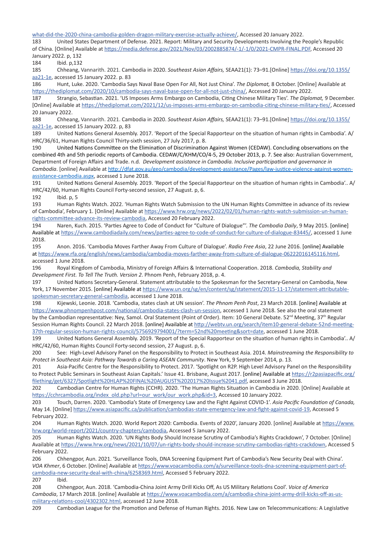what-did-the-2020-china-cambodia-golden-dragon-military-exercise-actually-achieve/, Accessed 20 January 2022.

183 United States Department of Defense. 2021. Report: Military and Security Developments Involving the People's Republic of China. [Online] Available at https://media.defense.gov/2021/Nov/03/2002885874/-1/-1/0/2021-CMPR-FINAL.PDF, Accessed 20 January 2022. p, 132

184 Ibid. p,132

185 Chheang, Vannarith. 2021. Cambodia in 2020. *Southeast Asian Affairs,* SEAA21(1): 73–91.[Online] https://doi.org/10.1355/ aa21-1e, accessed 15 January 2022. p. 83

186 Hunt, Luke. 2020. 'Cambodia Says Naval Base Open For All, Not Just China'. *The Diplomat,* 8 October. [Online] Available at https://thediplomat.com/2020/10/cambodia-says-naval-base-open-for-all-not-just-china/, Accessed 20 January 2022.

187 Strangio, Sebastian. 2021. 'US Imposes Arms Embargo on Cambodia, Citing Chinese Military Ties'. *The Diplomat,* 9 December. [Online] Available at https://thediplomat.com/2021/12/us-imposes-arms-embargo-on-cambodia-citing-chinese-military-ties/, Accessed 20 January 2022.

188 Chheang, Vannarith. 2021. Cambodia in 2020. *Southeast Asian Affairs,* SEAA21(1): 73–91.[Online] https://doi.org/10.1355/ aa21-1e, accessed 15 January 2022. p, 83

189 United Nations General Assembly. 2017. 'Report of the Special Rapporteur on the situation of human rights in Cambodia'. A/ HRC/36/61, Human Rights Council Thirty-sixth session, 27 July 2017, p. 8.

190 United Nations Committee on the Elimination of Discrimination Against Women (CEDAW). Concluding observations on the combined 4th and 5th periodic reports of Cambodia. CEDAW/C/KHM/CO/4-5, 29 October 2013, p. 7. See also: Australian Government, Department of Foreign Affairs and Trade. n.d. *Development assistance in Cambodia. Inclusive participation and governance in Cambodia*. [online] Available at http://dfat.gov.au/geo/cambodia/development-assistance/Pages/law-justice-violence-against-womenassistance-cambodia.aspx, accessed 1 June 2018.

191 United Nations General Assembly. 2019. 'Report of the Special Rapporteur on the situation of human rights in Cambodia'.. A/ HRC/42/60, Human Rights Council Forty-second session, 27 August. p, 6.

192 Ibid. p, 5

193 Human Rights Watch. 2022. 'Human Rights Watch Submission to the UN Human Rights Committee in advance of its review of Cambodia', February 1. [Online] Available at https://www.hrw.org/news/2022/02/01/human-rights-watch-submission-un-humanrights-committee-advance-its-review-cambodia, Accessed 20 February 2022.

194 Naren, Kuch. 2015. 'Parties Agree to Code of Conduct for "Culture of Dialogue"'. *The Cambodia Daily*, 9 May 2015. [online] Available at https://www.cambodiadaily.com/news/parties-agree-to-code-of-conduct-for-culture-of-dialogue-83445/, accessed 1 June 2018.

195 Anon. 2016. 'Cambodia Moves Farther Away From Culture of Dialogue'. *Radio Free Asia*, 22 June 2016. [online] Available at https://www.rfa.org/english/news/cambodia/cambodia-moves-farther-away-from-culture-of-dialogue-06222016145116.html, accessed 1 June 2018.

196 Royal Kingdom of Cambodia, Ministry of Foreign Affairs & International Cooperation. 2018. *Cambodia, Stability and Development First. To Tell The Truth. Version 2*. Phnom Penh, February 2018, p. 4.

197 United Nations Secretary-General. Statement attributable to the Spokesman for the Secretary-General on Cambodia, New York, 17 November 2015. [online] Available at https://www.un.org/sg/en/content/sg/statement/2015-11-17/statement-attributablespokesman-secretary-general-cambodia, accessed 1 June 2018.

198 Kijewski, Leonie. 2018. 'Cambodia, states clash at UN session'. *The Phnom Penh Post*, 23 March 2018. [online] Available at https://www.phnompenhpost.com/national/cambodia-states-clash-un-session, accessed 1 June 2018. See also the oral statement by the Cambodian representative: Ney, Samol. Oral Statement (Point of Order). Item: 10 General Debate. 52<sup>nd</sup> Meeting, 37<sup>th</sup> Regular Session Human Rights Council. 22 March 2018. [online] Available at http://webtv.un.org/search/item10-general-debate-52nd-meeting-37th-regular-session-human-rights-council/5756929794001/?term=52nd%20meeting&sort=date, accessed 1 June 2018.

199 United Nations General Assembly. 2019. 'Report of the Special Rapporteur on the situation of human rights in Cambodia'.. A/ HRC/42/60, Human Rights Council Forty-second session, 27 August. p, 6.

200 See: High-Level Advisory Panel on the Responsibility to Protect in Southeast Asia. 2014. *Mainstreaming the Responsibility to Protect in Southeast Asia: Pathway Towards a Caring ASEAN Community*. New York, 9 September 2014, p. 13.

201 Asia-Pacific Centre for the Responsibility to Protect. 2017. 'Spotlight on R2P. High Level Advisory Panel on the Responsibility to Protect Public Seminars in Southeast Asian Capitals.' Issue 41. Brisbane, August 2017. [online] Available at https://r2pasiapacific.org/ filething/get/6327/Spotlight%20HLAP%20FINAL%20AUGUST%202017%20Issue%2041.pdf, accessed 3 June 2018.

202 Cambodian Centre for Human Rights (CCHR). 2020. 'The Human Rights Situation in Cambodia in 2020. [Online] Available at https://cchrcambodia.org/index\_old.php?url=our\_work/our\_work.php&id=3, Accessed 10 January 2022.

203 Touch, Darren. 2020. 'Cambodia's State of Emergency Law and the Fight Against COVID-1'. *Asia Pacific Foundation of Canada,*  May 14. [Online] https://www.asiapacific.ca/publication/cambodias-state-emergency-law-and-fight-against-covid-19, Accessed 5 February 2022.

204 Human Rights Watch. 2020. World Report 2020: Cambodia. Events of 2020', January 2020. [online] Available at https://www. hrw.org/world-report/2021/country-chapters/cambodia, Accessed 5 January 2022.

205 Human Rights Watch. 2020. 'UN Rights Body Should Increase Scrutiny of Cambodia's Rights Crackdown', 7 October. [Online] Available at https://www.hrw.org/news/2021/10/07/un-rights-body-should-increase-scrutiny-cambodias-rights-crackdown, Accessed 5 February 2022.

206 Chhengpor, Aun. 2021. 'Surveillance Tools, DNA Screening Equipment Part of Cambodia's New Security Deal with China'. *VOA Khmer*, 6 October. [Online] Available at https://www.voacambodia.com/a/surveillance-tools-dna-screening-equipment-part-ofcambodia-new-security-deal-with-china/6258369.html, Accessed 5 February 2022.

207 Ibid.

208 Chhengpor, Aun. 2018. 'Cambodia-China Joint Army Drill Kicks Off, As US Military Relations Cool'. *Voice of America Cambodia*, 17 March 2018. [online] Available at https://www.voacambodia.com/a/cambodia-china-joint-army-drill-kicks-off-as-usmilitary-relations-cool/4302302.html, accessed 12 June 2018.

209 Cambodian League for the Promotion and Defense of Human Rights. 2016. New Law on Telecommunications: A Legislative